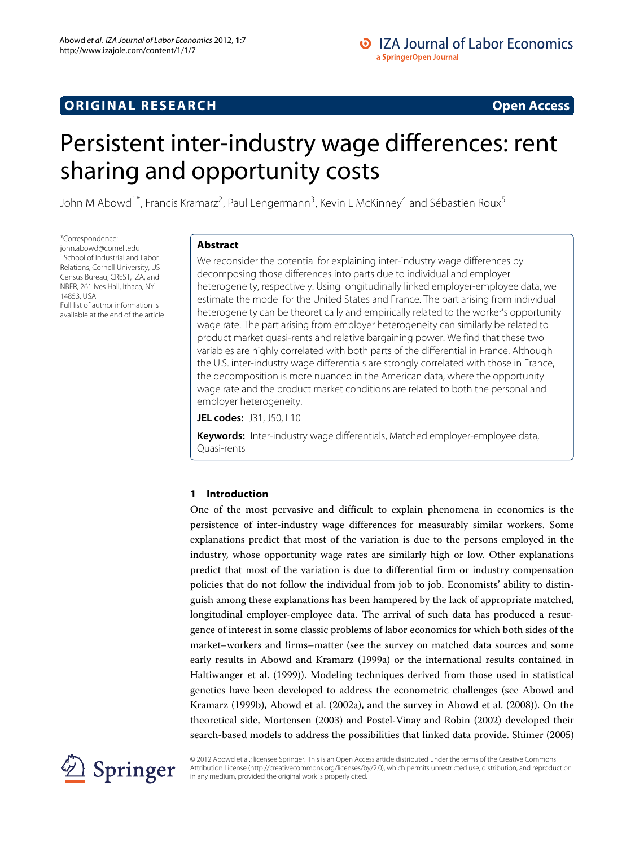# **ORIGINAL RESEARCH ORIGINAL RESEARCH Open Access**

# Persistent inter-industry wage differences: rent sharing and opportunity costs

John M Abowd<sup>1\*</sup>, Francis Kramarz<sup>2</sup>, Paul Lengermann<sup>3</sup>, Kevin L McKinney<sup>4</sup> and Sébastien Roux<sup>5</sup>

\*Correspondence: john.abowd@cornell.edu <sup>1</sup> School of Industrial and Labor Relations, Cornell University, US Census Bureau, CREST, IZA, and NBER, 261 Ives Hall, Ithaca, NY 14853, USA Full list of author information is available at the end of the article

# **Abstract**

We reconsider the potential for explaining inter-industry wage differences by decomposing those differences into parts due to individual and employer heterogeneity, respectively. Using longitudinally linked employer-employee data, we estimate the model for the United States and France. The part arising from individual heterogeneity can be theoretically and empirically related to the worker's opportunity wage rate. The part arising from employer heterogeneity can similarly be related to product market quasi-rents and relative bargaining power. We find that these two variables are highly correlated with both parts of the differential in France. Although the U.S. inter-industry wage differentials are strongly correlated with those in France, the decomposition is more nuanced in the American data, where the opportunity wage rate and the product market conditions are related to both the personal and employer heterogeneity.

**JEL codes:** J31, J50, L10

**Keywords:** Inter-industry wage differentials, Matched employer-employee data, Quasi-rents

# **1 Introduction**

One of the most pervasive and difficult to explain phenomena in economics is the persistence of inter-industry wage differences for measurably similar workers. Some explanations predict that most of the variation is due to the persons employed in the industry, whose opportunity wage rates are similarly high or low. Other explanations predict that most of the variation is due to differential firm or industry compensation policies that do not follow the individual from job to job. Economists' ability to distinguish among these explanations has been hampered by the lack of appropriate matched, longitudinal employer-employee data. The arrival of such data has produced a resurgence of interest in some classic problems of labor economics for which both sides of the market–workers and firms–matter (see the survey on matched data sources and some early results in Abowd and Kramarz [\(1999a\)](#page-23-0) or the international results contained in Haltiwanger et al. [\(1999\)](#page-24-0)). Modeling techniques derived from those used in statistical genetics have been developed to address the econometric challenges (see Abowd and Kramarz [\(1999b\)](#page-23-1), Abowd et al. [\(2002a\)](#page-23-2), and the survey in Abowd et al. [\(2008\)](#page-23-3)). On the theoretical side, Mortensen [\(2003\)](#page-24-1) and Postel-Vinay and Robin [\(2002\)](#page-24-2) developed their search-based models to address the possibilities that linked data provide. Shimer [\(2005\)](#page-24-3)



© 2012 Abowd et al.; licensee Springer. This is an Open Access article distributed under the terms of the Creative Commons Attribution License (http://creativecommons.org/licenses/by/2.0), which permits unrestricted use, distribution, and reproduction in any medium, provided the original work is properly cited.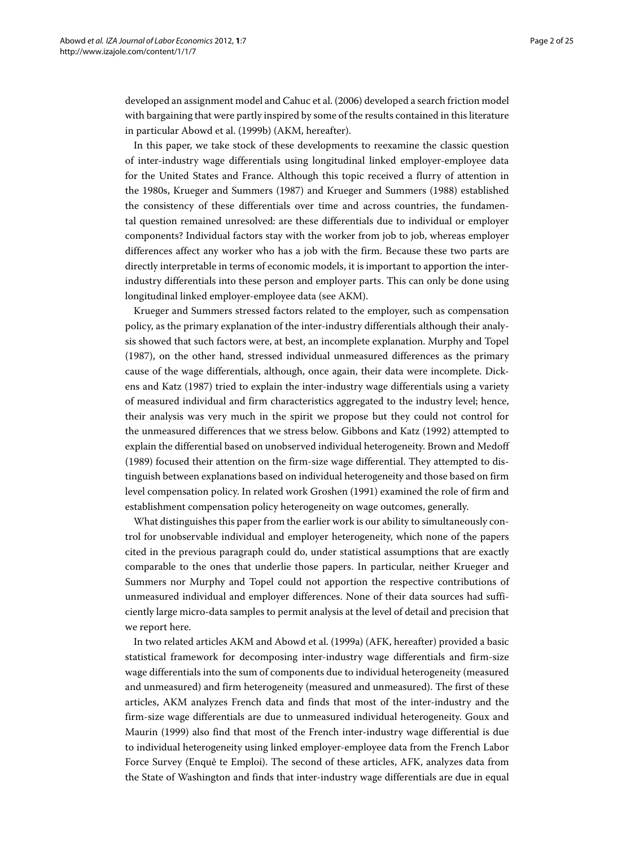developed an assignment model and Cahuc et al. [\(2006\)](#page-24-4) developed a search friction model with bargaining that were partly inspired by some of the results contained in this literature in particular Abowd et al. [\(1999b\)](#page-23-4) (AKM, hereafter).

In this paper, we take stock of these developments to reexamine the classic question of inter-industry wage differentials using longitudinal linked employer-employee data for the United States and France. Although this topic received a flurry of attention in the 1980s, Krueger and Summers [\(1987\)](#page-24-5) and Krueger and Summers [\(1988\)](#page-24-6) established the consistency of these differentials over time and across countries, the fundamental question remained unresolved: are these differentials due to individual or employer components? Individual factors stay with the worker from job to job, whereas employer differences affect any worker who has a job with the firm. Because these two parts are directly interpretable in terms of economic models, it is important to apportion the interindustry differentials into these person and employer parts. This can only be done using longitudinal linked employer-employee data (see AKM).

Krueger and Summers stressed factors related to the employer, such as compensation policy, as the primary explanation of the inter-industry differentials although their analysis showed that such factors were, at best, an incomplete explanation. Murphy and Topel [\(1987\)](#page-24-7), on the other hand, stressed individual unmeasured differences as the primary cause of the wage differentials, although, once again, their data were incomplete. Dickens and Katz [\(1987\)](#page-24-8) tried to explain the inter-industry wage differentials using a variety of measured individual and firm characteristics aggregated to the industry level; hence, their analysis was very much in the spirit we propose but they could not control for the unmeasured differences that we stress below. Gibbons and Katz [\(1992\)](#page-24-9) attempted to explain the differential based on unobserved individual heterogeneity. Brown and Medoff [\(1989\)](#page-24-10) focused their attention on the firm-size wage differential. They attempted to distinguish between explanations based on individual heterogeneity and those based on firm level compensation policy. In related work Groshen [\(1991\)](#page-24-11) examined the role of firm and establishment compensation policy heterogeneity on wage outcomes, generally.

What distinguishes this paper from the earlier work is our ability to simultaneously control for unobservable individual and employer heterogeneity, which none of the papers cited in the previous paragraph could do, under statistical assumptions that are exactly comparable to the ones that underlie those papers. In particular, neither Krueger and Summers nor Murphy and Topel could not apportion the respective contributions of unmeasured individual and employer differences. None of their data sources had sufficiently large micro-data samples to permit analysis at the level of detail and precision that we report here.

In two related articles AKM and Abowd et al. [\(1999a\)](#page-23-5) (AFK, hereafter) provided a basic statistical framework for decomposing inter-industry wage differentials and firm-size wage differentials into the sum of components due to individual heterogeneity (measured and unmeasured) and firm heterogeneity (measured and unmeasured). The first of these articles, AKM analyzes French data and finds that most of the inter-industry and the firm-size wage differentials are due to unmeasured individual heterogeneity. Goux and Maurin [\(1999\)](#page-24-12) also find that most of the French inter-industry wage differential is due to individual heterogeneity using linked employer-employee data from the French Labor Force Survey (Enquê te Emploi). The second of these articles, AFK, analyzes data from the State of Washington and finds that inter-industry wage differentials are due in equal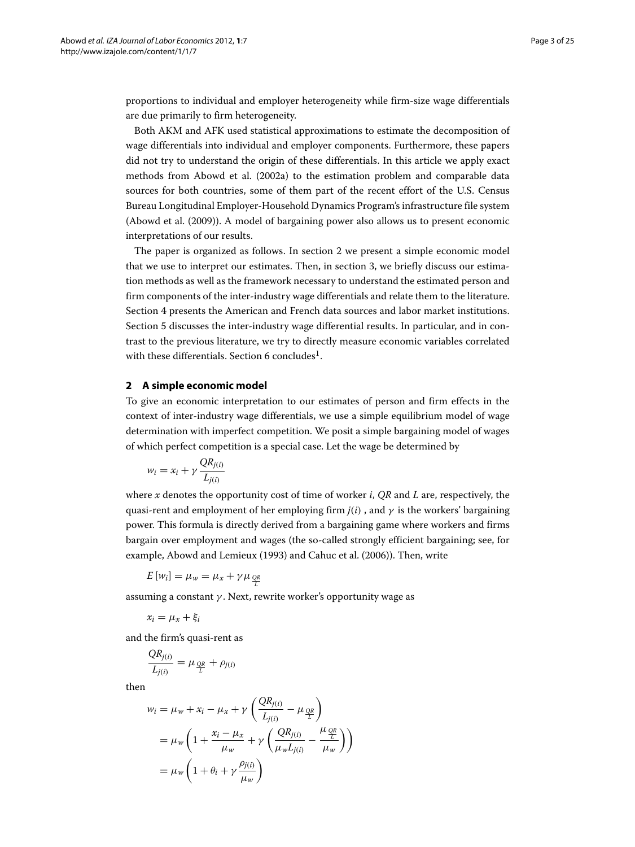proportions to individual and employer heterogeneity while firm-size wage differentials are due primarily to firm heterogeneity.

Both AKM and AFK used statistical approximations to estimate the decomposition of wage differentials into individual and employer components. Furthermore, these papers did not try to understand the origin of these differentials. In this article we apply exact methods from Abowd et al. [\(2002a\)](#page-23-2) to the estimation problem and comparable data sources for both countries, some of them part of the recent effort of the U.S. Census Bureau Longitudinal Employer-Household Dynamics Program's infrastructure file system (Abowd et al. [\(2009\)](#page-24-13)). A model of bargaining power also allows us to present economic interpretations of our results.

The paper is organized as follows. In section [2](#page-2-0) we present a simple economic model that we use to interpret our estimates. Then, in section [3,](#page-4-0) we briefly discuss our estimation methods as well as the framework necessary to understand the estimated person and firm components of the inter-industry wage differentials and relate them to the literature. Section [4](#page-6-0) presents the American and French data sources and labor market institutions. Section [5](#page-7-0) discusses the inter-industry wage differential results. In particular, and in contrast to the previous literature, we try to directly measure economic variables correlated with these differentials. Section [6](#page-10-0) concludes<sup>1</sup>.

#### <span id="page-2-0"></span>**2 A simple economic model**

To give an economic interpretation to our estimates of person and firm effects in the context of inter-industry wage differentials, we use a simple equilibrium model of wage determination with imperfect competition. We posit a simple bargaining model of wages of which perfect competition is a special case. Let the wage be determined by

$$
w_i = x_i + \gamma \frac{QR_{j(i)}}{L_{j(i)}}
$$

where *x* denotes the opportunity cost of time of worker *i*, *QR* and *L* are, respectively, the quasi-rent and employment of her employing firm  $j(i)$ , and  $\gamma$  is the workers' bargaining power. This formula is directly derived from a bargaining game where workers and firms bargain over employment and wages (the so-called strongly efficient bargaining; see, for example, Abowd and Lemieux [\(1993\)](#page-23-6) and Cahuc et al. [\(2006\)](#page-24-4)). Then, write

$$
E\left[w_i\right] = \mu_w = \mu_x + \gamma \mu_{\frac{QR}{L}}
$$

assuming a constant *γ* . Next, rewrite worker's opportunity wage as

 $x_i = \mu_x + \xi_i$ 

and the firm's quasi-rent as

$$
\frac{QR_{j(i)}}{L_{j(i)}} = \mu_{\frac{QR}{L}} + \rho_{j(i)}
$$

then

$$
w_i = \mu_w + x_i - \mu_x + \gamma \left( \frac{QR_{j(i)}}{L_{j(i)}} - \mu_{\frac{QR}{L}} \right)
$$
  
= 
$$
\mu_w \left( 1 + \frac{x_i - \mu_x}{\mu_w} + \gamma \left( \frac{QR_{j(i)}}{\mu_w L_{j(i)}} - \frac{\mu_{\frac{QR}{L}}}{\mu_w} \right) \right)
$$
  
= 
$$
\mu_w \left( 1 + \theta_i + \gamma \frac{\rho_{j(i)}}{\mu_w} \right)
$$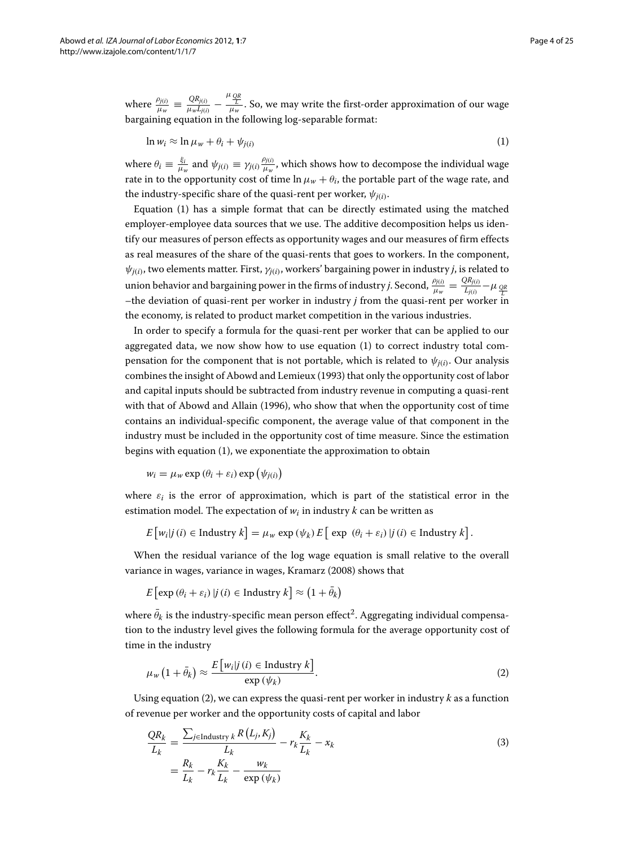where  $\frac{\rho_{j(i)}}{\mu_w} \equiv \frac{QR_{j(i)}}{\mu_w L_{j(i)}}$ *μ QR L <sup>μ</sup><sup>w</sup>* . So, we may write the first-order approximation of our wage bargaining equation in the following log-separable format:

<span id="page-3-0"></span>
$$
\ln w_i \approx \ln \mu_w + \theta_i + \psi_{j(i)} \tag{1}
$$

where  $\theta_i \equiv \frac{\xi_i}{\mu_w}$  and  $\psi_{j(i)} \equiv \gamma_{j(i)} \frac{\rho_{j(i)}}{\mu_w}$ , which shows how to decompose the individual wage rate in to the opportunity cost of time  $\ln \mu_w + \theta_i$ , the portable part of the wage rate, and the industry-specific share of the quasi-rent per worker,  $\psi_{i(i)}$ .

Equation [\(1\)](#page-3-0) has a simple format that can be directly estimated using the matched employer-employee data sources that we use. The additive decomposition helps us identify our measures of person effects as opportunity wages and our measures of firm effects as real measures of the share of the quasi-rents that goes to workers. In the component, *ψj(i)*, two elements matter. First, *γj(i)*, workers' bargaining power in industry *j*, is related to union behavior and bargaining power in the firms of industry *j*. Second,  $\frac{\rho_{j(i)}}{\mu_w} = \frac{QR_{j(i)}}{L_{j(i)}} - \mu_{\frac{QR}{L}}$ –the deviation of quasi-rent per worker in industry  $j$  from the quasi-rent per worker in the economy, is related to product market competition in the various industries.

In order to specify a formula for the quasi-rent per worker that can be applied to our aggregated data, we now show how to use equation [\(1\)](#page-3-0) to correct industry total compensation for the component that is not portable, which is related to  $\psi_{j(i)}$ . Our analysis combines the insight of Abowd and Lemieux [\(1993\)](#page-23-6) that only the opportunity cost of labor and capital inputs should be subtracted from industry revenue in computing a quasi-rent with that of Abowd and Allain [\(1996\)](#page-23-7), who show that when the opportunity cost of time contains an individual-specific component, the average value of that component in the industry must be included in the opportunity cost of time measure. Since the estimation begins with equation [\(1\)](#page-3-0), we exponentiate the approximation to obtain

 $w_i = \mu_w \exp(\theta_i + \varepsilon_i) \exp(\psi_{j(i)})$ 

where  $\varepsilon_i$  is the error of approximation, which is part of the statistical error in the estimation model. The expectation of  $w_i$  in industry  $k$  can be written as

$$
E\left[w_i|j\ (i)\in \text{Industry }k\right]=\mu_w\ \exp\left(\psi_k\right)E\left[\ \exp\ (\theta_i+\varepsilon_i)\ |j\ (i)\in \text{Industry }k\right].
$$

When the residual variance of the log wage equation is small relative to the overall variance in wages, variance in wages, Kramarz [\(2008\)](#page-24-14) shows that

$$
E\left[\exp\left(\theta_{i}+\varepsilon_{i}\right)|j\left(i\right)\in\text{Industry }k\right]\approx\left(1+\bar{\theta}_{k}\right)
$$

where  $\bar{\theta}_k$  is the industry-specific mean person effect<sup>2</sup>. Aggregating individual compensation to the industry level gives the following formula for the average opportunity cost of time in the industry

<span id="page-3-1"></span>
$$
\mu_{w}\left(1+\bar{\theta}_{k}\right) \approx \frac{E\left[w_{i}|j\left(i\right) \in \text{ Industry } k\right]}{\exp\left(\psi_{k}\right)}.\tag{2}
$$

Using equation [\(2\)](#page-3-1), we can express the quasi-rent per worker in industry *k* as a function of revenue per worker and the opportunity costs of capital and labor

<span id="page-3-2"></span>
$$
\frac{QR_k}{L_k} = \frac{\sum_{j \in \text{Industry }k} R(L_j, K_j)}{L_k} - r_k \frac{K_k}{L_k} - x_k
$$
\n
$$
= \frac{R_k}{L_k} - r_k \frac{K_k}{L_k} - \frac{w_k}{\exp(\psi_k)}
$$
\n(3)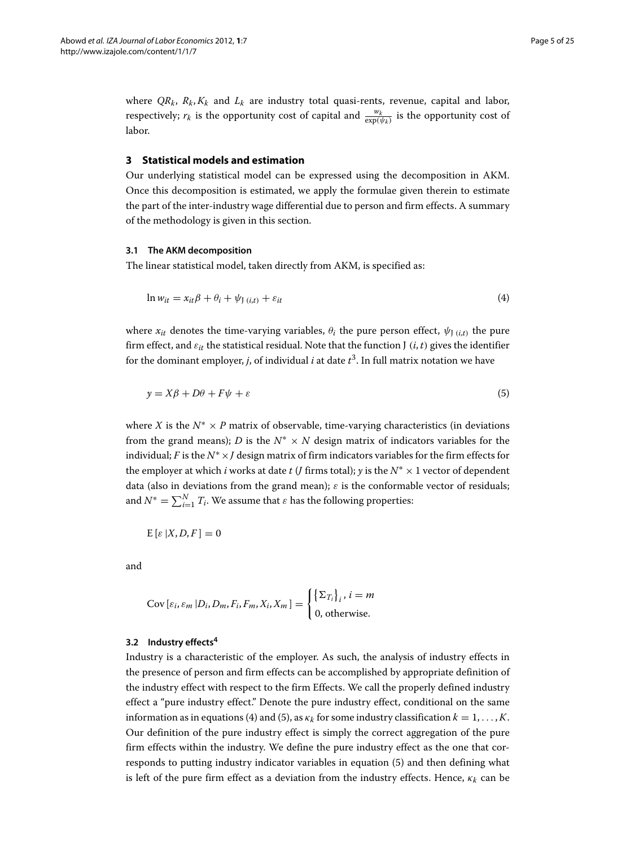where  $QR_k$ ,  $R_k$ ,  $K_k$  and  $L_k$  are industry total quasi-rents, revenue, capital and labor, respectively;  $r_k$  is the opportunity cost of capital and  $\frac{w_k}{\exp(\psi_k)}$  is the opportunity cost of labor.

#### <span id="page-4-0"></span>**3 Statistical models and estimation**

Our underlying statistical model can be expressed using the decomposition in AKM. Once this decomposition is estimated, we apply the formulae given therein to estimate the part of the inter-industry wage differential due to person and firm effects. A summary of the methodology is given in this section.

#### **3.1 The AKM decomposition**

The linear statistical model, taken directly from AKM, is specified as:

<span id="page-4-1"></span>
$$
\ln w_{it} = x_{it}\beta + \theta_i + \psi_{J(i,t)} + \varepsilon_{it}
$$
\n(4)

where  $x_{it}$  denotes the time-varying variables,  $\theta_i$  the pure person effect,  $\psi_{\text{I}(i,t)}$  the pure firm effect, and *εit* the statistical residual. Note that the function J *(i*, *t)* gives the identifier for the dominant employer, *j*, of individual *i* at date  $t^3$ . In full matrix notation we have

<span id="page-4-2"></span>
$$
y = X\beta + D\theta + F\psi + \varepsilon \tag{5}
$$

where *X* is the  $N^* \times P$  matrix of observable, time-varying characteristics (in deviations from the grand means); *D* is the  $N^* \times N$  design matrix of indicators variables for the individual; *F* is the  $N^* \times J$  design matrix of firm indicators variables for the firm effects for the employer at which *i* works at date *t* (*J* firms total); *y* is the  $N^* \times 1$  vector of dependent data (also in deviations from the grand mean); *ε* is the conformable vector of residuals; and  $N^* = \sum_{i=1}^{N} T_i$ . We assume that  $\varepsilon$  has the following properties:

$$
\mathrm{E}\left[\varepsilon\left|X,D,F\right.\right]=0
$$

and

$$
Cov\left[\varepsilon_{i}, \varepsilon_{m} | D_{i}, D_{m}, F_{i}, F_{m}, X_{i}, X_{m}\right] = \begin{cases} \left\{\Sigma_{T_{i}}\right\}_{i}, i = m \\ 0, \text{ otherwise.} \end{cases}
$$

#### **3.2 Industry effects4**

Industry is a characteristic of the employer. As such, the analysis of industry effects in the presence of person and firm effects can be accomplished by appropriate definition of the industry effect with respect to the firm Effects. We call the properly defined industry effect a "pure industry effect." Denote the pure industry effect, conditional on the same information as in equations [\(4\)](#page-4-1) and [\(5\)](#page-4-2), as  $\kappa_k$  for some industry classification  $k = 1, \ldots, K$ . Our definition of the pure industry effect is simply the correct aggregation of the pure firm effects within the industry. We define the pure industry effect as the one that corresponds to putting industry indicator variables in equation [\(5\)](#page-4-2) and then defining what is left of the pure firm effect as a deviation from the industry effects. Hence, *κ<sup>k</sup>* can be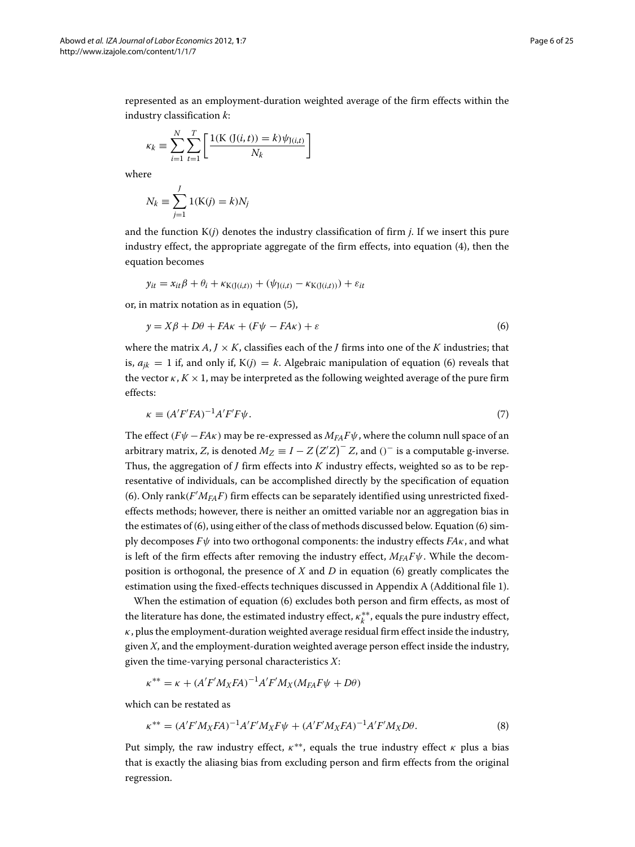represented as an employment-duration weighted average of the firm effects within the industry classification *k*:

$$
\kappa_{k} \equiv \sum_{i=1}^{N} \sum_{t=1}^{T} \left[ \frac{1(K (J(i, t)) = k) \psi_{J(i, t)}}{N_{k}} \right]
$$

where

$$
N_k \equiv \sum_{j=1}^{J} 1(K(j) = k)N_j
$$

and the function  $K(j)$  denotes the industry classification of firm *j*. If we insert this pure industry effect, the appropriate aggregate of the firm effects, into equation [\(4\)](#page-4-1), then the equation becomes

$$
y_{it} = x_{it}\beta + \theta_i + \kappa_{K(J(i,t))} + (\psi_{J(i,t)} - \kappa_{K(J(i,t))}) + \varepsilon_{it}
$$

or, in matrix notation as in equation [\(5\)](#page-4-2),

<span id="page-5-0"></span>
$$
y = X\beta + D\theta + FAx + (F\psi - FAx) + \varepsilon
$$
\n(6)

where the matrix  $A, J \times K$ , classifies each of the *J* firms into one of the *K* industries; that is,  $a_{jk} = 1$  if, and only if,  $K(j) = k$ . Algebraic manipulation of equation [\(6\)](#page-5-0) reveals that the vector  $\kappa$ ,  $K \times 1$ , may be interpreted as the following weighted average of the pure firm effects:

$$
\kappa \equiv (A'F'FA)^{-1}A'F'F\psi. \tag{7}
$$

The effect  $(F\psi - FA\kappa)$  may be re-expressed as  $M_{FA}F\psi$ , where the column null space of an arbitrary matrix, *Z*, is denoted  $M_Z \equiv I - Z(Z'Z)^{-}Z$ , and  $()^{-}$  is a computable g-inverse. Thus, the aggregation of *J* firm effects into *K* industry effects, weighted so as to be representative of individuals, can be accomplished directly by the specification of equation [\(6\)](#page-5-0). Only  $\mathrm{rank}(F'M_{FA}F)$  firm effects can be separately identified using unrestricted fixedeffects methods; however, there is neither an omitted variable nor an aggregation bias in the estimates of [\(6\)](#page-5-0), using either of the class of methods discussed below. Equation [\(6\)](#page-5-0) simply decomposes  $F\psi$  into two orthogonal components: the industry effects  $FA\kappa$ , and what is left of the firm effects after removing the industry effect, *MFAFψ*. While the decomposition is orthogonal, the presence of *X* and *D* in equation [\(6\)](#page-5-0) greatly complicates the estimation using the fixed-effects techniques discussed in Appendix A (Additional file [1\)](#page-23-8).

When the estimation of equation [\(6\)](#page-5-0) excludes both person and firm effects, as most of the literature has done, the estimated industry effect,  $\kappa_k^{**}$ , equals the pure industry effect, *κ*, plus the employment-duration weighted average residual firm effect inside the industry, given *X*, and the employment-duration weighted average person effect inside the industry, given the time-varying personal characteristics *X*:

<span id="page-5-1"></span>
$$
\kappa^{**} = \kappa + (A'F'M_XFA)^{-1}A'F'M_X(M_{FA}F\psi + D\theta)
$$

which can be restated as

$$
\kappa^{**} = (A'F'M_XFA)^{-1}A'F'M_XF\psi + (A'F'M_XFA)^{-1}A'F'M_XD\theta.
$$
\n(8)

Put simply, the raw industry effect,  $\kappa^{**}$ , equals the true industry effect  $\kappa$  plus a bias that is exactly the aliasing bias from excluding person and firm effects from the original regression.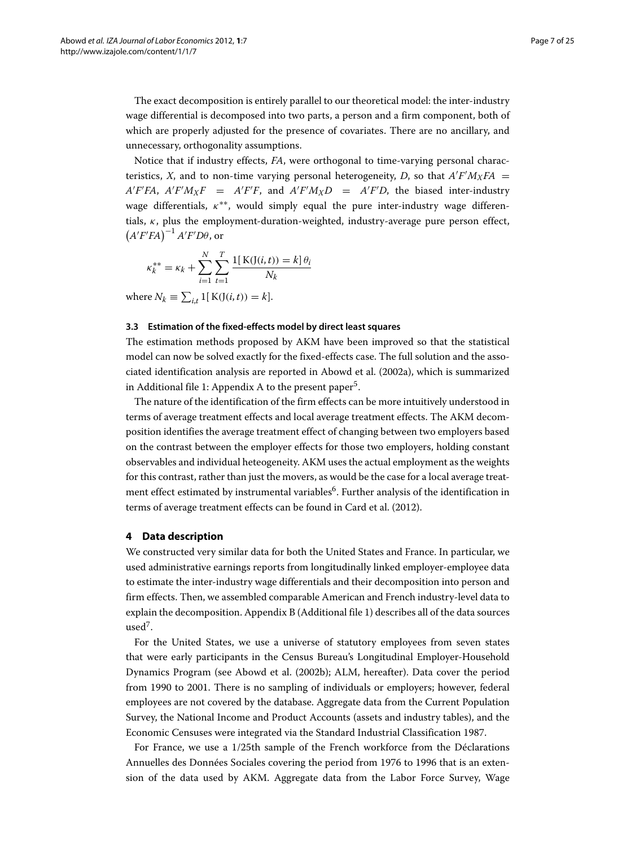The exact decomposition is entirely parallel to our theoretical model: the inter-industry wage differential is decomposed into two parts, a person and a firm component, both of which are properly adjusted for the presence of covariates. There are no ancillary, and unnecessary, orthogonality assumptions.

Notice that if industry effects, *FA*, were orthogonal to time-varying personal characteristics, *X*, and to non-time varying personal heterogeneity, *D*, so that  $A'F'M_XFA =$  $A'F'FA$ ,  $A'F'M_XF = A'F'F$ , and  $A'F'M_XD = A'F'D$ , the biased inter-industry wage differentials, *κ*∗∗, would simply equal the pure inter-industry wage differentials, *κ*, plus the employment-duration-weighted, industry-average pure person effect,  $(A'F'FA)^{-1}A'F'D\theta$ , or

$$
\kappa_k^{**} = \kappa_k + \sum_{i=1}^{N} \sum_{t=1}^{T} \frac{1[K(\mathbf{J}(i,t)) = k] \theta_i}{N_k}
$$

where  $N_k \equiv \sum_{i,t} 1[k(j(i,t)) = k].$ 

#### **3.3 Estimation of the fixed-effects model by direct least squares**

The estimation methods proposed by AKM have been improved so that the statistical model can now be solved exactly for the fixed-effects case. The full solution and the associated identification analysis are reported in Abowd et al. [\(2002a\)](#page-23-2), which is summarized in Additional file [1:](#page-23-8) Appendix A to the present paper<sup>5</sup>.

The nature of the identification of the firm effects can be more intuitively understood in terms of average treatment effects and local average treatment effects. The AKM decomposition identifies the average treatment effect of changing between two employers based on the contrast between the employer effects for those two employers, holding constant observables and individual heteogeneity. AKM uses the actual employment as the weights for this contrast, rather than just the movers, as would be the case for a local average treatment effect estimated by instrumental variables<sup>6</sup>. Further analysis of the identification in terms of average treatment effects can be found in Card et al. [\(2012\)](#page-24-15).

#### <span id="page-6-0"></span>**4 Data description**

We constructed very similar data for both the United States and France. In particular, we used administrative earnings reports from longitudinally linked employer-employee data to estimate the inter-industry wage differentials and their decomposition into person and firm effects. Then, we assembled comparable American and French industry-level data to explain the decomposition. Appendix B (Additional file [1\)](#page-23-8) describes all of the data sources  $used<sup>7</sup>$ .

For the United States, we use a universe of statutory employees from seven states that were early participants in the Census Bureau's Longitudinal Employer-Household Dynamics Program (see Abowd et al. [\(2002b\)](#page-23-9); ALM, hereafter). Data cover the period from 1990 to 2001. There is no sampling of individuals or employers; however, federal employees are not covered by the database. Aggregate data from the Current Population Survey, the National Income and Product Accounts (assets and industry tables), and the Economic Censuses were integrated via the Standard Industrial Classification 1987.

For France, we use a 1/25th sample of the French workforce from the Déclarations Annuelles des Données Sociales covering the period from 1976 to 1996 that is an extension of the data used by AKM. Aggregate data from the Labor Force Survey, Wage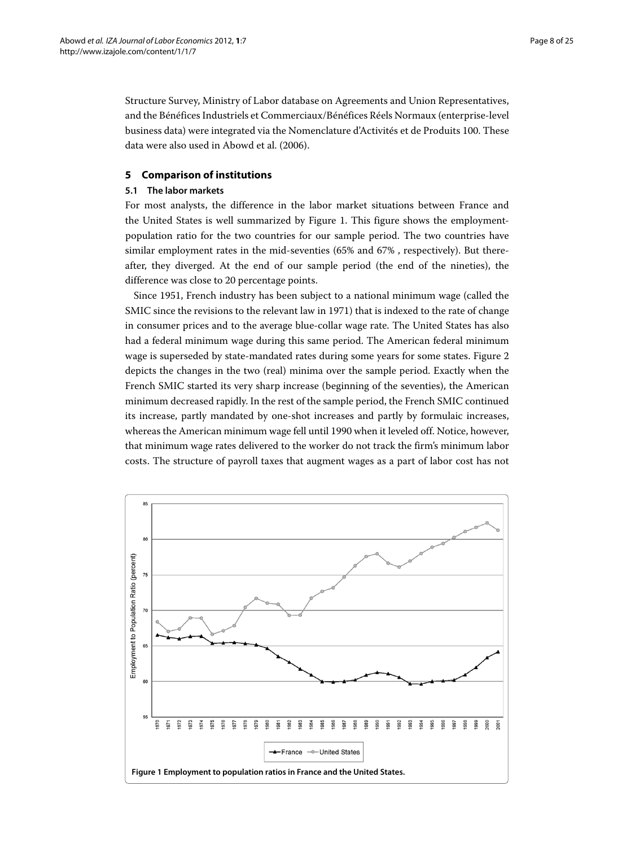Structure Survey, Ministry of Labor database on Agreements and Union Representatives, and the Bénéfices Industriels et Commerciaux/Bénéfices Réels Normaux (enterprise-level business data) were integrated via the Nomenclature d'Activités et de Produits 100. These data were also used in Abowd et al. [\(2006\)](#page-23-10).

#### <span id="page-7-0"></span>**5 Comparison of institutions**

#### **5.1 The labor markets**

For most analysts, the difference in the labor market situations between France and the United States is well summarized by Figure [1.](#page-7-1) This figure shows the employmentpopulation ratio for the two countries for our sample period. The two countries have similar employment rates in the mid-seventies (65% and 67% , respectively). But thereafter, they diverged. At the end of our sample period (the end of the nineties), the difference was close to 20 percentage points.

Since 1951, French industry has been subject to a national minimum wage (called the SMIC since the revisions to the relevant law in 1971) that is indexed to the rate of change in consumer prices and to the average blue-collar wage rate. The United States has also had a federal minimum wage during this same period. The American federal minimum wage is superseded by state-mandated rates during some years for some states. Figure [2](#page-8-0) depicts the changes in the two (real) minima over the sample period. Exactly when the French SMIC started its very sharp increase (beginning of the seventies), the American minimum decreased rapidly. In the rest of the sample period, the French SMIC continued its increase, partly mandated by one-shot increases and partly by formulaic increases, whereas the American minimum wage fell until 1990 when it leveled off. Notice, however, that minimum wage rates delivered to the worker do not track the firm's minimum labor costs. The structure of payroll taxes that augment wages as a part of labor cost has not

<span id="page-7-1"></span>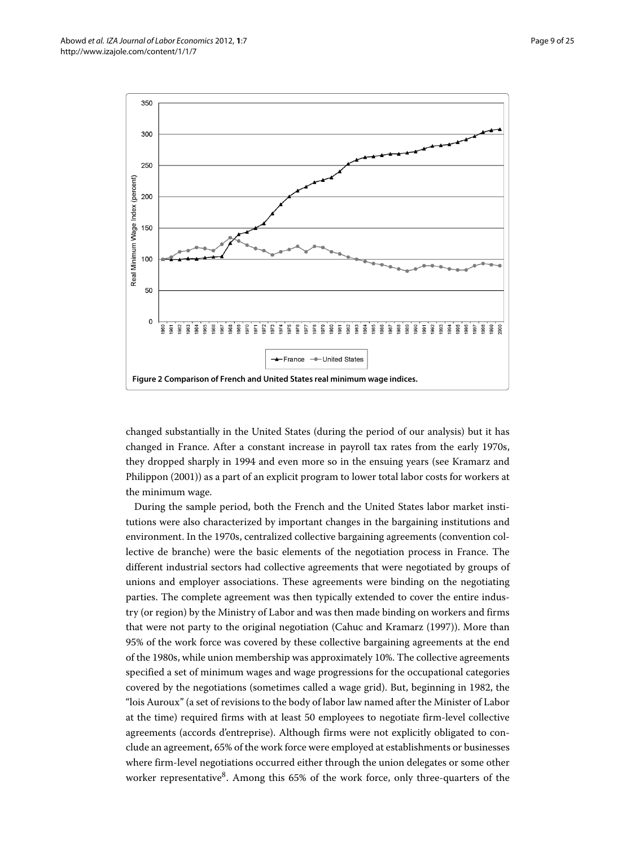

<span id="page-8-0"></span>changed substantially in the United States (during the period of our analysis) but it has changed in France. After a constant increase in payroll tax rates from the early 1970s, they dropped sharply in 1994 and even more so in the ensuing years (see Kramarz and Philippon [\(2001\)](#page-24-16)) as a part of an explicit program to lower total labor costs for workers at the minimum wage.

During the sample period, both the French and the United States labor market institutions were also characterized by important changes in the bargaining institutions and environment. In the 1970s, centralized collective bargaining agreements (convention collective de branche) were the basic elements of the negotiation process in France. The different industrial sectors had collective agreements that were negotiated by groups of unions and employer associations. These agreements were binding on the negotiating parties. The complete agreement was then typically extended to cover the entire industry (or region) by the Ministry of Labor and was then made binding on workers and firms that were not party to the original negotiation (Cahuc and Kramarz [\(1997\)](#page-24-17)). More than 95% of the work force was covered by these collective bargaining agreements at the end of the 1980s, while union membership was approximately 10%. The collective agreements specified a set of minimum wages and wage progressions for the occupational categories covered by the negotiations (sometimes called a wage grid). But, beginning in 1982, the "lois Auroux" (a set of revisions to the body of labor law named after the Minister of Labor at the time) required firms with at least 50 employees to negotiate firm-level collective agreements (accords d'entreprise). Although firms were not explicitly obligated to conclude an agreement, 65% of the work force were employed at establishments or businesses where firm-level negotiations occurred either through the union delegates or some other worker representative<sup>8</sup>. Among this  $65\%$  of the work force, only three-quarters of the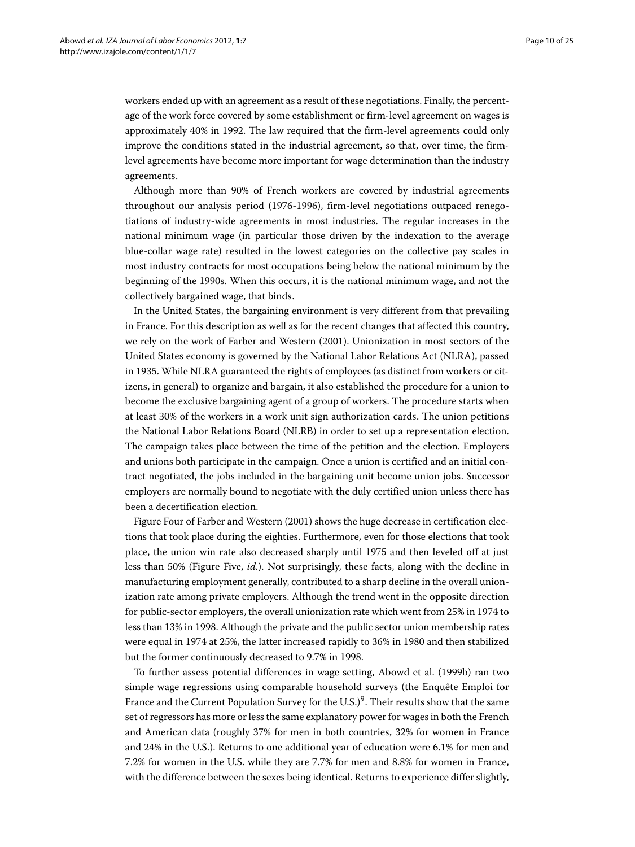workers ended up with an agreement as a result of these negotiations. Finally, the percentage of the work force covered by some establishment or firm-level agreement on wages is approximately 40% in 1992. The law required that the firm-level agreements could only improve the conditions stated in the industrial agreement, so that, over time, the firmlevel agreements have become more important for wage determination than the industry agreements.

Although more than 90% of French workers are covered by industrial agreements throughout our analysis period (1976-1996), firm-level negotiations outpaced renegotiations of industry-wide agreements in most industries. The regular increases in the national minimum wage (in particular those driven by the indexation to the average blue-collar wage rate) resulted in the lowest categories on the collective pay scales in most industry contracts for most occupations being below the national minimum by the beginning of the 1990s. When this occurs, it is the national minimum wage, and not the collectively bargained wage, that binds.

In the United States, the bargaining environment is very different from that prevailing in France. For this description as well as for the recent changes that affected this country, we rely on the work of Farber and Western [\(2001\)](#page-24-18). Unionization in most sectors of the United States economy is governed by the National Labor Relations Act (NLRA), passed in 1935. While NLRA guaranteed the rights of employees (as distinct from workers or citizens, in general) to organize and bargain, it also established the procedure for a union to become the exclusive bargaining agent of a group of workers. The procedure starts when at least 30% of the workers in a work unit sign authorization cards. The union petitions the National Labor Relations Board (NLRB) in order to set up a representation election. The campaign takes place between the time of the petition and the election. Employers and unions both participate in the campaign. Once a union is certified and an initial contract negotiated, the jobs included in the bargaining unit become union jobs. Successor employers are normally bound to negotiate with the duly certified union unless there has been a decertification election.

Figure Four of Farber and Western [\(2001\)](#page-24-18) shows the huge decrease in certification elections that took place during the eighties. Furthermore, even for those elections that took place, the union win rate also decreased sharply until 1975 and then leveled off at just less than 50% (Figure Five, *id.*). Not surprisingly, these facts, along with the decline in manufacturing employment generally, contributed to a sharp decline in the overall unionization rate among private employers. Although the trend went in the opposite direction for public-sector employers, the overall unionization rate which went from 25% in 1974 to less than 13% in 1998. Although the private and the public sector union membership rates were equal in 1974 at 25%, the latter increased rapidly to 36% in 1980 and then stabilized but the former continuously decreased to 9.7% in 1998.

To further assess potential differences in wage setting, Abowd et al. [\(1999b\)](#page-23-4) ran two simple wage regressions using comparable household surveys (the Enquête Emploi for France and the Current Population Survey for the U.S.)<sup>9</sup>. Their results show that the same set of regressors has more or less the same explanatory power for wages in both the French and American data (roughly 37% for men in both countries, 32% for women in France and 24% in the U.S.). Returns to one additional year of education were 6.1% for men and 7.2% for women in the U.S. while they are 7.7% for men and 8.8% for women in France, with the difference between the sexes being identical. Returns to experience differ slightly,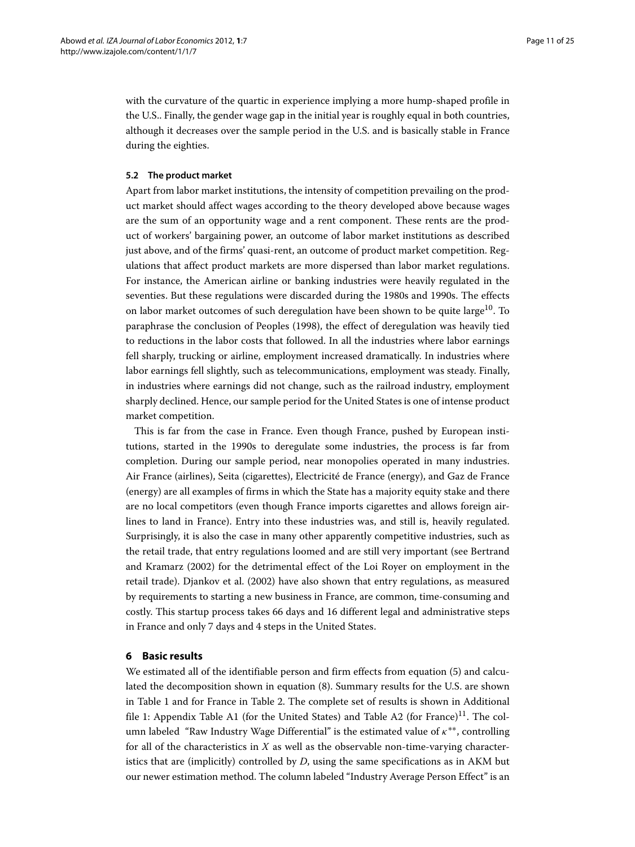with the curvature of the quartic in experience implying a more hump-shaped profile in the U.S.. Finally, the gender wage gap in the initial year is roughly equal in both countries, although it decreases over the sample period in the U.S. and is basically stable in France during the eighties.

#### **5.2 The product market**

Apart from labor market institutions, the intensity of competition prevailing on the product market should affect wages according to the theory developed above because wages are the sum of an opportunity wage and a rent component. These rents are the product of workers' bargaining power, an outcome of labor market institutions as described just above, and of the firms' quasi-rent, an outcome of product market competition. Regulations that affect product markets are more dispersed than labor market regulations. For instance, the American airline or banking industries were heavily regulated in the seventies. But these regulations were discarded during the 1980s and 1990s. The effects on labor market outcomes of such deregulation have been shown to be quite large<sup>10</sup>. To paraphrase the conclusion of Peoples [\(1998\)](#page-24-19), the effect of deregulation was heavily tied to reductions in the labor costs that followed. In all the industries where labor earnings fell sharply, trucking or airline, employment increased dramatically. In industries where labor earnings fell slightly, such as telecommunications, employment was steady. Finally, in industries where earnings did not change, such as the railroad industry, employment sharply declined. Hence, our sample period for the United States is one of intense product market competition.

This is far from the case in France. Even though France, pushed by European institutions, started in the 1990s to deregulate some industries, the process is far from completion. During our sample period, near monopolies operated in many industries. Air France (airlines), Seita (cigarettes), Electricité de France (energy), and Gaz de France (energy) are all examples of firms in which the State has a majority equity stake and there are no local competitors (even though France imports cigarettes and allows foreign airlines to land in France). Entry into these industries was, and still is, heavily regulated. Surprisingly, it is also the case in many other apparently competitive industries, such as the retail trade, that entry regulations loomed and are still very important (see Bertrand and Kramarz [\(2002\)](#page-24-20) for the detrimental effect of the Loi Royer on employment in the retail trade). Djankov et al. [\(2002\)](#page-24-21) have also shown that entry regulations, as measured by requirements to starting a new business in France, are common, time-consuming and costly. This startup process takes 66 days and 16 different legal and administrative steps in France and only 7 days and 4 steps in the United States.

#### <span id="page-10-0"></span>**6 Basic results**

We estimated all of the identifiable person and firm effects from equation [\(5\)](#page-4-2) and calculated the decomposition shown in equation [\(8\)](#page-5-1). Summary results for the U.S. are shown in Table [1](#page-11-0) and for France in Table [2.](#page-12-0) The complete set of results is shown in Additional file [1:](#page-23-8) Appendix Table A1 (for the United States) and Table A2 (for France)<sup>11</sup>. The column labeled "Raw Industry Wage Differential" is the estimated value of *κ*∗∗, controlling for all of the characteristics in *X* as well as the observable non-time-varying characteristics that are (implicitly) controlled by *D*, using the same specifications as in AKM but our newer estimation method. The column labeled "Industry Average Person Effect" is an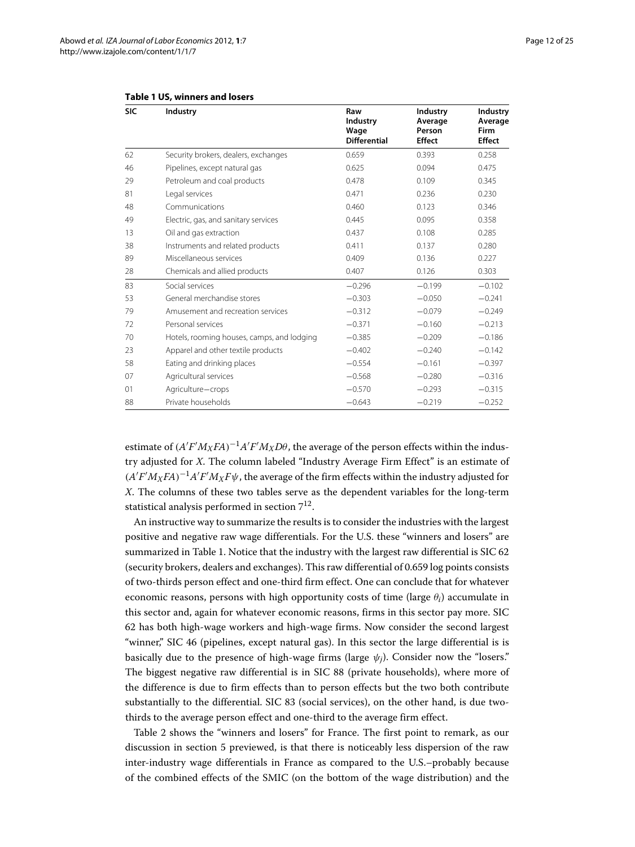<span id="page-11-0"></span>

| <b>SIC</b> | Industry                                   | Raw<br>Industry<br>Wage<br><b>Differential</b> | Industry<br>Average<br>Person<br><b>Effect</b> | <b>Industry</b><br>Average<br><b>Firm</b><br><b>Effect</b> |
|------------|--------------------------------------------|------------------------------------------------|------------------------------------------------|------------------------------------------------------------|
| 62         | Security brokers, dealers, exchanges       | 0.659                                          | 0.393                                          | 0.258                                                      |
| 46         | Pipelines, except natural gas              | 0.625                                          | 0.094                                          | 0.475                                                      |
| 29         | Petroleum and coal products                | 0.478                                          | 0.109                                          | 0.345                                                      |
| 81         | Legal services                             | 0.471                                          | 0.236                                          | 0.230                                                      |
| 48         | Communications                             | 0.460                                          | 0.123                                          | 0.346                                                      |
| 49         | Electric, gas, and sanitary services       | 0.445                                          | 0.095                                          | 0.358                                                      |
| 13         | Oil and gas extraction                     | 0.437                                          | 0.108                                          | 0.285                                                      |
| 38         | Instruments and related products           | 0.411                                          | 0.137                                          | 0.280                                                      |
| 89         | Miscellaneous services                     | 0.409                                          | 0.136                                          | 0.227                                                      |
| 28         | Chemicals and allied products              | 0.407                                          | 0.126                                          | 0.303                                                      |
| 83         | Social services                            | $-0.296$                                       | $-0.199$                                       | $-0.102$                                                   |
| 53         | General merchandise stores                 | $-0.303$                                       | $-0.050$                                       | $-0.241$                                                   |
| 79         | Amusement and recreation services          | $-0.312$                                       | $-0.079$                                       | $-0.249$                                                   |
| 72         | Personal services                          | $-0.371$                                       | $-0.160$                                       | $-0.213$                                                   |
| 70         | Hotels, rooming houses, camps, and lodging | $-0.385$                                       | $-0.209$                                       | $-0.186$                                                   |
| 23         | Apparel and other textile products         | $-0.402$                                       | $-0.240$                                       | $-0.142$                                                   |
| 58         | Eating and drinking places                 | $-0.554$                                       | $-0.161$                                       | $-0.397$                                                   |
| 07         | Agricultural services                      | $-0.568$                                       | $-0.280$                                       | $-0.316$                                                   |
| 01         | Agriculture-crops                          | $-0.570$                                       | $-0.293$                                       | $-0.315$                                                   |
| 88         | Private households                         | $-0.643$                                       | $-0.219$                                       | $-0.252$                                                   |

#### **Table 1 US, winners and losers**

estimate of  $(A'F'M_XFA)^{-1}A'F'M_XD\theta$ , the average of the person effects within the industry adjusted for *X*. The column labeled "Industry Average Firm Effect" is an estimate of  $(A'F'M_XFA)^{-1}A'F'M_XF\psi$  , the average of the firm effects within the industry adjusted for *X*. The columns of these two tables serve as the dependent variables for the long-term statistical analysis performed in section  $7^{12}$ .

An instructive way to summarize the results is to consider the industries with the largest positive and negative raw wage differentials. For the U.S. these "winners and losers" are summarized in Table [1.](#page-11-0) Notice that the industry with the largest raw differential is SIC 62 (security brokers, dealers and exchanges). This raw differential of 0.659 log points consists of two-thirds person effect and one-third firm effect. One can conclude that for whatever economic reasons, persons with high opportunity costs of time (large *θi*) accumulate in this sector and, again for whatever economic reasons, firms in this sector pay more. SIC 62 has both high-wage workers and high-wage firms. Now consider the second largest "winner," SIC 46 (pipelines, except natural gas). In this sector the large differential is is basically due to the presence of high-wage firms (large  $\psi_i$ ). Consider now the "losers." The biggest negative raw differential is in SIC 88 (private households), where more of the difference is due to firm effects than to person effects but the two both contribute substantially to the differential. SIC 83 (social services), on the other hand, is due twothirds to the average person effect and one-third to the average firm effect.

Table [2](#page-12-0) shows the "winners and losers" for France. The first point to remark, as our discussion in section [5](#page-7-0) previewed, is that there is noticeably less dispersion of the raw inter-industry wage differentials in France as compared to the U.S.–probably because of the combined effects of the SMIC (on the bottom of the wage distribution) and the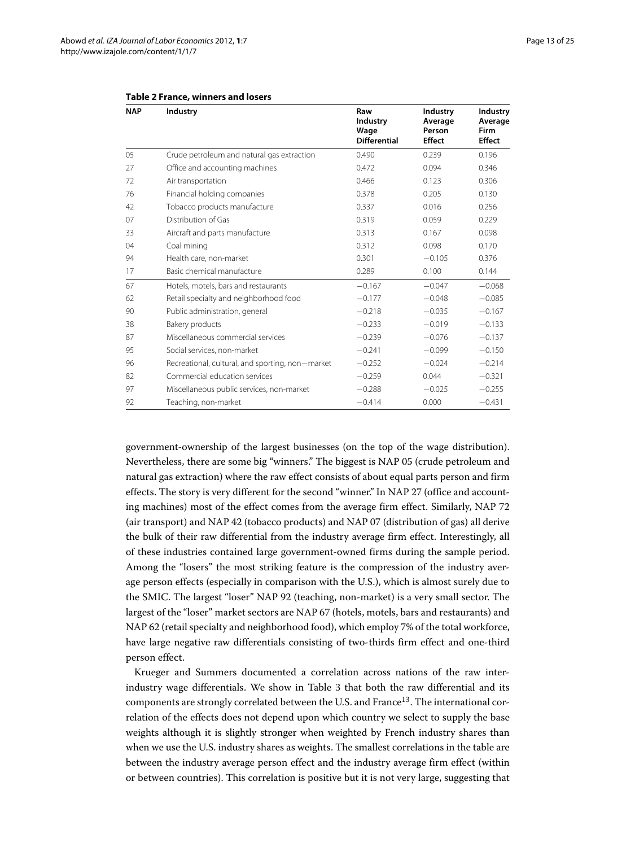| <b>NAP</b> | Industry                                         | Raw<br>Industry<br>Wage<br><b>Differential</b> | Industry<br>Average<br>Person<br><b>Effect</b> | Industry<br>Average<br>Firm<br><b>Effect</b> |
|------------|--------------------------------------------------|------------------------------------------------|------------------------------------------------|----------------------------------------------|
| 05         | Crude petroleum and natural gas extraction       | 0.490                                          | 0.239                                          | 0.196                                        |
| 27         | Office and accounting machines                   | 0.472                                          | 0.094                                          | 0.346                                        |
| 72         | Air transportation                               | 0.466                                          | 0.123                                          | 0.306                                        |
| 76         | Financial holding companies                      | 0.378                                          | 0.205                                          | 0.130                                        |
| 42         | Tobacco products manufacture                     | 0.337                                          | 0.016                                          | 0.256                                        |
| 07         | Distribution of Gas                              | 0.319                                          | 0.059                                          | 0.229                                        |
| 33         | Aircraft and parts manufacture                   | 0.313                                          | 0.167                                          | 0.098                                        |
| 04         | Coal mining                                      | 0.312                                          | 0.098                                          | 0.170                                        |
| 94         | Health care, non-market                          | 0.301                                          | $-0.105$                                       | 0.376                                        |
| 17         | Basic chemical manufacture                       | 0.289                                          | 0.100                                          | 0.144                                        |
| 67         | Hotels, motels, bars and restaurants             | $-0.167$                                       | $-0.047$                                       | $-0.068$                                     |
| 62         | Retail specialty and neighborhood food           | $-0.177$                                       | $-0.048$                                       | $-0.085$                                     |
| 90         | Public administration, general                   | $-0.218$                                       | $-0.035$                                       | $-0.167$                                     |
| 38         | Bakery products                                  | $-0.233$                                       | $-0.019$                                       | $-0.133$                                     |
| 87         | Miscellaneous commercial services                | $-0.239$                                       | $-0.076$                                       | $-0.137$                                     |
| 95         | Social services, non-market                      | $-0.241$                                       | $-0.099$                                       | $-0.150$                                     |
| 96         | Recreational, cultural, and sporting, non-market | $-0.252$                                       | $-0.024$                                       | $-0.214$                                     |
| 82         | Commercial education services                    | $-0.259$                                       | 0.044                                          | $-0.321$                                     |
| 97         | Miscellaneous public services, non-market        | $-0.288$                                       | $-0.025$                                       | $-0.255$                                     |
| 92         | Teaching, non-market                             | $-0.414$                                       | 0.000                                          | $-0.431$                                     |

#### <span id="page-12-0"></span>**Table 2 France, winners and losers**

government-ownership of the largest businesses (on the top of the wage distribution). Nevertheless, there are some big "winners." The biggest is NAP 05 (crude petroleum and natural gas extraction) where the raw effect consists of about equal parts person and firm effects. The story is very different for the second "winner." In NAP 27 (office and accounting machines) most of the effect comes from the average firm effect. Similarly, NAP 72 (air transport) and NAP 42 (tobacco products) and NAP 07 (distribution of gas) all derive the bulk of their raw differential from the industry average firm effect. Interestingly, all of these industries contained large government-owned firms during the sample period. Among the "losers" the most striking feature is the compression of the industry average person effects (especially in comparison with the U.S.), which is almost surely due to the SMIC. The largest "loser" NAP 92 (teaching, non-market) is a very small sector. The largest of the "loser" market sectors are NAP 67 (hotels, motels, bars and restaurants) and NAP 62 (retail specialty and neighborhood food), which employ 7% of the total workforce, have large negative raw differentials consisting of two-thirds firm effect and one-third person effect.

Krueger and Summers documented a correlation across nations of the raw interindustry wage differentials. We show in Table [3](#page-13-0) that both the raw differential and its components are strongly correlated between the U.S. and France<sup>13</sup>. The international correlation of the effects does not depend upon which country we select to supply the base weights although it is slightly stronger when weighted by French industry shares than when we use the U.S. industry shares as weights. The smallest correlations in the table are between the industry average person effect and the industry average firm effect (within or between countries). This correlation is positive but it is not very large, suggesting that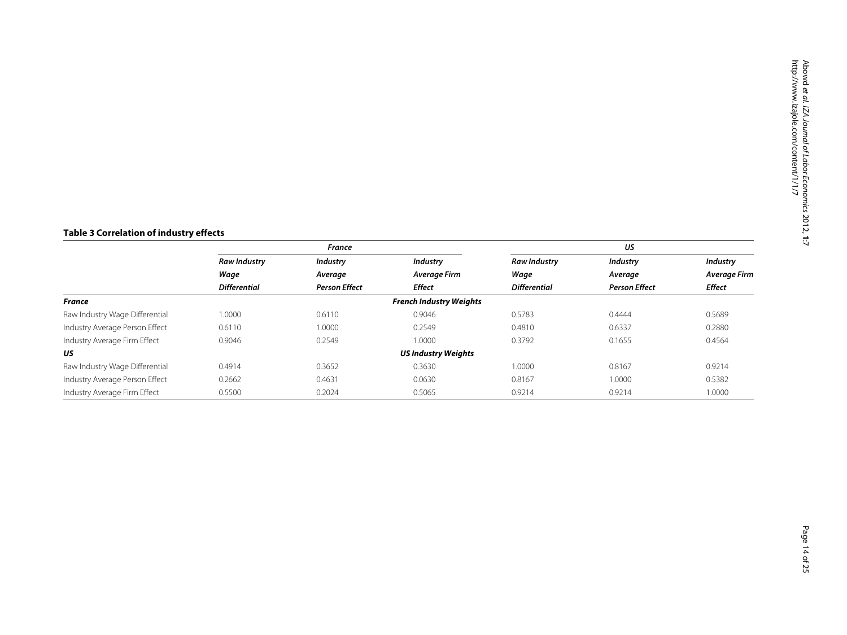# **Table 3 Correlation of industry effects**

<span id="page-13-0"></span>

|                                |                     | France               |                                |                     | US                   |                 |
|--------------------------------|---------------------|----------------------|--------------------------------|---------------------|----------------------|-----------------|
|                                | <b>Raw Industry</b> | Industry             | <b>Industry</b>                | <b>Raw Industry</b> | <b>Industry</b>      | <b>Industry</b> |
|                                | Wage                | Average              | Average Firm                   | Wage                | Average              | Average Firm    |
|                                | <b>Differential</b> | <b>Person Effect</b> | <b>Effect</b>                  | <b>Differential</b> | <b>Person Effect</b> | <b>Effect</b>   |
| France                         |                     |                      | <b>French Industry Weights</b> |                     |                      |                 |
| Raw Industry Wage Differential | 1.0000              | 0.6110               | 0.9046                         | 0.5783              | 0.4444               | 0.5689          |
| Industry Average Person Effect | 0.6110              | 1.0000               | 0.2549                         | 0.4810              | 0.6337               | 0.2880          |
| Industry Average Firm Effect   | 0.9046              | 0.2549               | 1.0000                         | 0.3792              | 0.1655               | 0.4564          |
| US                             |                     |                      | <b>US Industry Weights</b>     |                     |                      |                 |
| Raw Industry Wage Differential | 0.4914              | 0.3652               | 0.3630                         | 0000.               | 0.8167               | 0.9214          |
| Industry Average Person Effect | 0.2662              | 0.4631               | 0.0630                         | 0.8167              | 1.0000               | 0.5382          |
| Industry Average Firm Effect   | 0.5500              | 0.2024               | 0.5065                         | 0.9214              | 0.9214               | 1.0000          |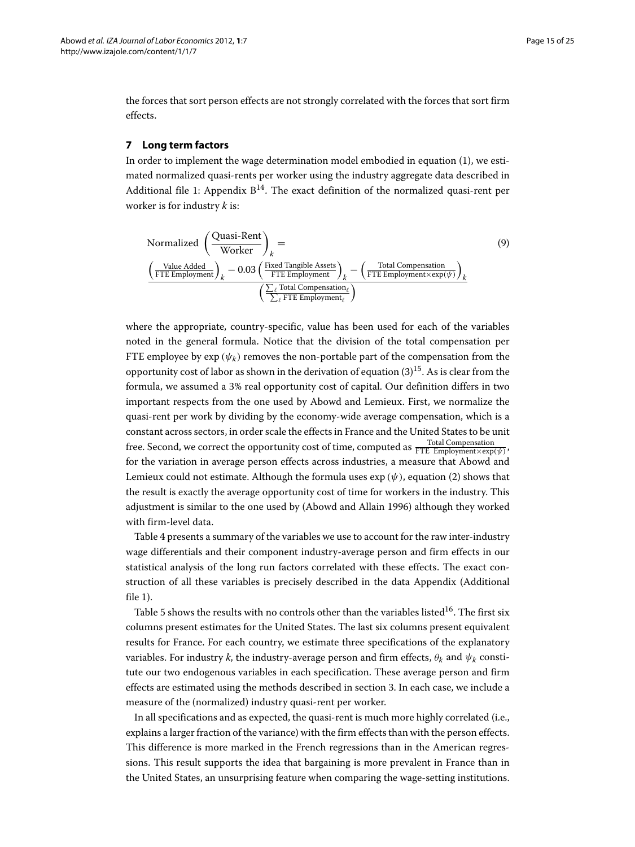the forces that sort person effects are not strongly correlated with the forces that sort firm effects.

# <span id="page-14-0"></span>**7 Long term factors**

In order to implement the wage determination model embodied in equation [\(1\)](#page-3-0), we estimated normalized quasi-rents per worker using the industry aggregate data described in Additional file [1:](#page-23-8) Appendix  $B^{14}$ . The exact definition of the normalized quasi-rent per worker is for industry *k* is:

<span id="page-14-1"></span>
$$
\text{Normalized } \left( \frac{\text{Quasi-Rent}}{\text{Worker}} \right)_k = \frac{\left( \frac{\text{Value Added}}{\text{FTE}_\text{Employee} \cdot \text{Angle} \cdot \text{Asets}} \right)_k - \left( \frac{\text{Total Comparison}}{\text{FTE}_\text{Employee} \cdot \text{exp}(\psi)} \right)_k}{\left( \frac{\sum_{\ell} \text{Total Comparison}_{\ell}}{\sum_{\ell} \text{FTE}_\text{Employee} \cdot \text{Exp}(\psi)} \right)_k}
$$
\n(9)

where the appropriate, country-specific, value has been used for each of the variables noted in the general formula. Notice that the division of the total compensation per FTE employee by  $exp(\psi_k)$  removes the non-portable part of the compensation from the opportunity cost of labor as shown in the derivation of equation  $(3)^{15}$  $(3)^{15}$ . As is clear from the formula, we assumed a 3% real opportunity cost of capital. Our definition differs in two important respects from the one used by Abowd and Lemieux. First, we normalize the quasi-rent per work by dividing by the economy-wide average compensation, which is a constant across sectors, in order scale the effects in France and the United States to be unit free. Second, we correct the opportunity cost of time, computed as  $\frac{\text{Total Comparison}}{\text{FTE}_{\text{Employee}}(w)}$ , for the variation in average person effects across industries, a measure that Abowd and Lemieux could not estimate. Although the formula uses exp *(ψ)*, equation [\(2\)](#page-3-1) shows that the result is exactly the average opportunity cost of time for workers in the industry. This adjustment is similar to the one used by (Abowd and Allain [1996\)](#page-23-7) although they worked with firm-level data.

Table [4](#page-15-0) presents a summary of the variables we use to account for the raw inter-industry wage differentials and their component industry-average person and firm effects in our statistical analysis of the long run factors correlated with these effects. The exact construction of all these variables is precisely described in the data Appendix (Additional file [1\)](#page-23-8).

Table [5](#page-16-0) shows the results with no controls other than the variables listed<sup>16</sup>. The first six columns present estimates for the United States. The last six columns present equivalent results for France. For each country, we estimate three specifications of the explanatory variables. For industry *k*, the industry-average person and firm effects,  $\theta_k$  and  $\psi_k$  constitute our two endogenous variables in each specification. These average person and firm effects are estimated using the methods described in section [3.](#page-4-0) In each case, we include a measure of the (normalized) industry quasi-rent per worker.

In all specifications and as expected, the quasi-rent is much more highly correlated (i.e., explains a larger fraction of the variance) with the firm effects than with the person effects. This difference is more marked in the French regressions than in the American regressions. This result supports the idea that bargaining is more prevalent in France than in the United States, an unsurprising feature when comparing the wage-setting institutions.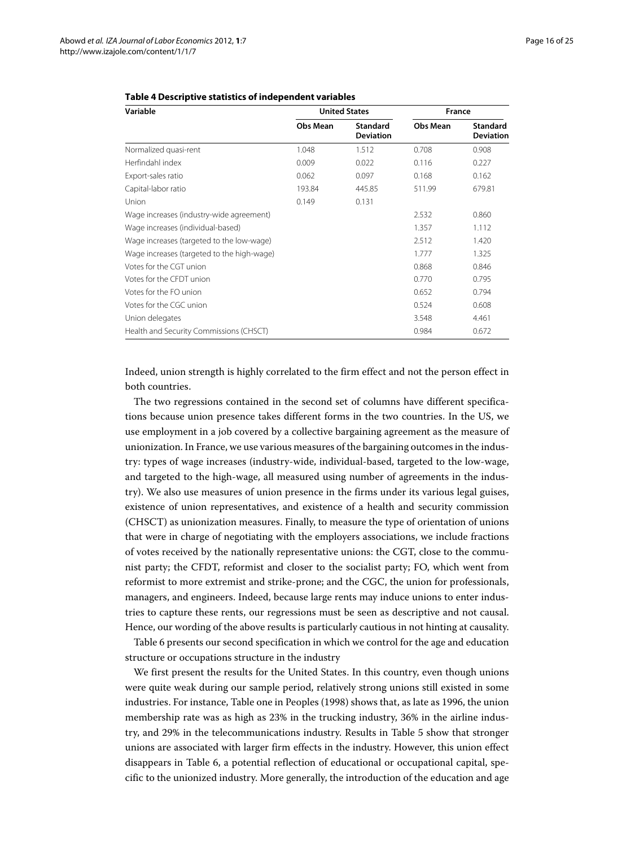| Variable                                   |                 | <b>United States</b>         | France          |                                     |  |
|--------------------------------------------|-----------------|------------------------------|-----------------|-------------------------------------|--|
|                                            | <b>Obs Mean</b> | Standard<br><b>Deviation</b> | <b>Obs Mean</b> | <b>Standard</b><br><b>Deviation</b> |  |
| Normalized quasi-rent                      | 1.048           | 1.512                        | 0.708           | 0.908                               |  |
| Herfindahl index                           | 0.009           | 0.022                        | 0.116           | 0.227                               |  |
| Export-sales ratio                         | 0.062           | 0.097                        | 0.168           | 0.162                               |  |
| Capital-labor ratio                        | 193.84          | 445.85                       | 511.99          | 679.81                              |  |
| Union                                      | 0.149           | 0.131                        |                 |                                     |  |
| Wage increases (industry-wide agreement)   |                 |                              | 2.532           | 0.860                               |  |
| Wage increases (individual-based)          |                 |                              | 1.357           | 1.112                               |  |
| Wage increases (targeted to the low-wage)  |                 |                              | 2.512           | 1.420                               |  |
| Wage increases (targeted to the high-wage) |                 |                              | 1.777           | 1.325                               |  |
| Votes for the CGT union                    |                 |                              | 0.868           | 0.846                               |  |
| Votes for the CEDT union                   |                 |                              | 0.770           | 0.795                               |  |
| Votes for the FO union                     |                 |                              | 0.652           | 0.794                               |  |
| Votes for the CGC union                    |                 |                              | 0.524           | 0.608                               |  |
| Union delegates                            |                 |                              | 3.548           | 4.461                               |  |
| Health and Security Commissions (CHSCT)    |                 |                              | 0.984           | 0.672                               |  |

<span id="page-15-0"></span>

Indeed, union strength is highly correlated to the firm effect and not the person effect in both countries.

The two regressions contained in the second set of columns have different specifications because union presence takes different forms in the two countries. In the US, we use employment in a job covered by a collective bargaining agreement as the measure of unionization. In France, we use various measures of the bargaining outcomes in the industry: types of wage increases (industry-wide, individual-based, targeted to the low-wage, and targeted to the high-wage, all measured using number of agreements in the industry). We also use measures of union presence in the firms under its various legal guises, existence of union representatives, and existence of a health and security commission (CHSCT) as unionization measures. Finally, to measure the type of orientation of unions that were in charge of negotiating with the employers associations, we include fractions of votes received by the nationally representative unions: the CGT, close to the communist party; the CFDT, reformist and closer to the socialist party; FO, which went from reformist to more extremist and strike-prone; and the CGC, the union for professionals, managers, and engineers. Indeed, because large rents may induce unions to enter industries to capture these rents, our regressions must be seen as descriptive and not causal. Hence, our wording of the above results is particularly cautious in not hinting at causality.

Table [6](#page-18-0) presents our second specification in which we control for the age and education structure or occupations structure in the industry

We first present the results for the United States. In this country, even though unions were quite weak during our sample period, relatively strong unions still existed in some industries. For instance, Table one in Peoples [\(1998\)](#page-24-19) shows that, as late as 1996, the union membership rate was as high as 23% in the trucking industry, 36% in the airline industry, and 29% in the telecommunications industry. Results in Table [5](#page-16-0) show that stronger unions are associated with larger firm effects in the industry. However, this union effect disappears in Table [6,](#page-18-0) a potential reflection of educational or occupational capital, specific to the unionized industry. More generally, the introduction of the education and age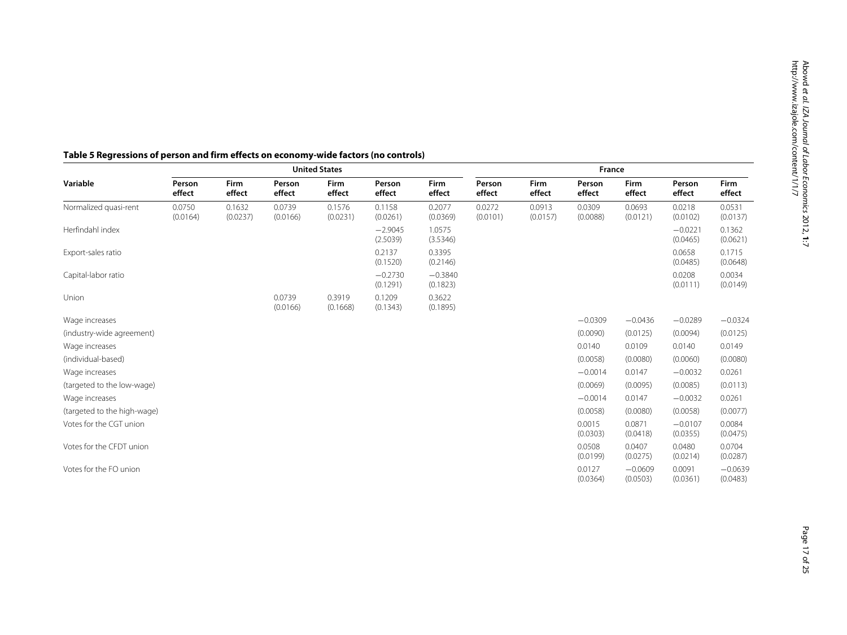<span id="page-16-0"></span>

|                             |                    |                    |                    | <b>United States</b> |                       | France                |                    |                    |                    |                       |                       |                       |
|-----------------------------|--------------------|--------------------|--------------------|----------------------|-----------------------|-----------------------|--------------------|--------------------|--------------------|-----------------------|-----------------------|-----------------------|
| Variable                    | Person<br>effect   | Firm<br>effect     | Person<br>effect   | Firm<br>effect       | Person<br>effect      | Firm<br>effect        | Person<br>effect   | Firm<br>effect     | Person<br>effect   | Firm<br>effect        | Person<br>effect      | <b>Firm</b><br>effect |
| Normalized quasi-rent       | 0.0750<br>(0.0164) | 0.1632<br>(0.0237) | 0.0739<br>(0.0166) | 0.1576<br>(0.0231)   | 0.1158<br>(0.0261)    | 0.2077<br>(0.0369)    | 0.0272<br>(0.0101) | 0.0913<br>(0.0157) | 0.0309<br>(0.0088) | 0.0693<br>(0.0121)    | 0.0218<br>(0.0102)    | 0.0531<br>(0.0137)    |
| Herfindahl index            |                    |                    |                    |                      | $-2.9045$<br>(2.5039) | 1.0575<br>(3.5346)    |                    |                    |                    |                       | $-0.0221$<br>(0.0465) | 0.1362<br>(0.0621)    |
| Export-sales ratio          |                    |                    |                    |                      | 0.2137<br>(0.1520)    | 0.3395<br>(0.2146)    |                    |                    |                    |                       | 0.0658<br>(0.0485)    | 0.1715<br>(0.0648)    |
| Capital-labor ratio         |                    |                    |                    |                      | $-0.2730$<br>(0.1291) | $-0.3840$<br>(0.1823) |                    |                    |                    |                       | 0.0208<br>(0.0111)    | 0.0034<br>(0.0149)    |
| Union                       |                    |                    | 0.0739<br>(0.0166) | 0.3919<br>(0.1668)   | 0.1209<br>(0.1343)    | 0.3622<br>(0.1895)    |                    |                    |                    |                       |                       |                       |
| Wage increases              |                    |                    |                    |                      |                       |                       |                    |                    | $-0.0309$          | $-0.0436$             | $-0.0289$             | $-0.0324$             |
| (industry-wide agreement)   |                    |                    |                    |                      |                       |                       |                    |                    | (0.0090)           | (0.0125)              | (0.0094)              | (0.0125)              |
| Wage increases              |                    |                    |                    |                      |                       |                       |                    |                    | 0.0140             | 0.0109                | 0.0140                | 0.0149                |
| (individual-based)          |                    |                    |                    |                      |                       |                       |                    |                    | (0.0058)           | (0.0080)              | (0.0060)              | (0.0080)              |
| Wage increases              |                    |                    |                    |                      |                       |                       |                    |                    | $-0.0014$          | 0.0147                | $-0.0032$             | 0.0261                |
| (targeted to the low-wage)  |                    |                    |                    |                      |                       |                       |                    |                    | (0.0069)           | (0.0095)              | (0.0085)              | (0.0113)              |
| Wage increases              |                    |                    |                    |                      |                       |                       |                    |                    | $-0.0014$          | 0.0147                | $-0.0032$             | 0.0261                |
| (targeted to the high-wage) |                    |                    |                    |                      |                       |                       |                    |                    | (0.0058)           | (0.0080)              | (0.0058)              | (0.0077)              |
| Votes for the CGT union     |                    |                    |                    |                      |                       |                       |                    |                    | 0.0015<br>(0.0303) | 0.0871<br>(0.0418)    | $-0.0107$<br>(0.0355) | 0.0084<br>(0.0475)    |
| Votes for the CFDT union    |                    |                    |                    |                      |                       |                       |                    |                    | 0.0508<br>(0.0199) | 0.0407<br>(0.0275)    | 0.0480<br>(0.0214)    | 0.0704<br>(0.0287)    |
| Votes for the FO union      |                    |                    |                    |                      |                       |                       |                    |                    | 0.0127<br>(0.0364) | $-0.0609$<br>(0.0503) | 0.0091<br>(0.0361)    | $-0.0639$<br>(0.0483) |

# **Table 5 Regressions of person and firm effects on economy-wide factors (no controls)**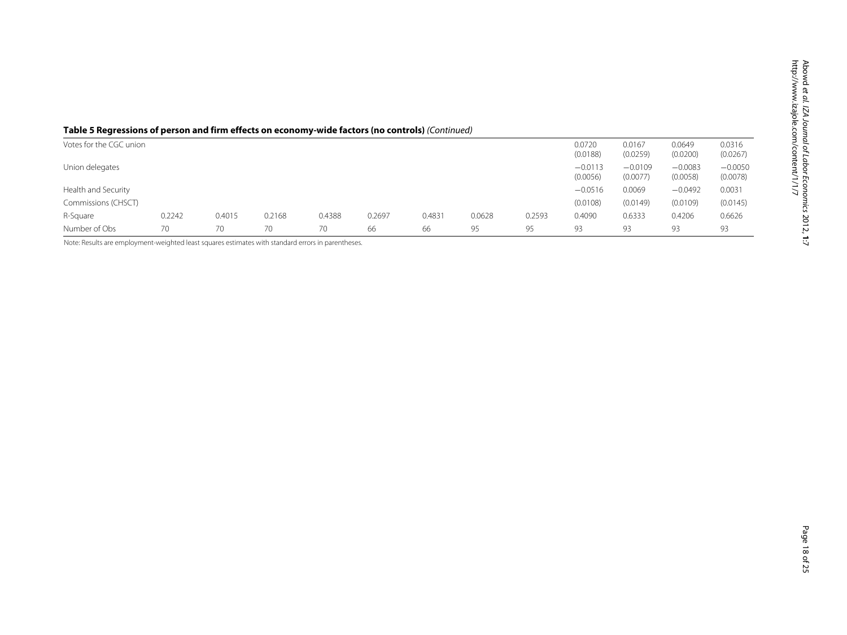# **Table 5 Regressions of person and firm effects on economy-wide factors (no controls)** *(Continued)*

| Votes for the CGC union |        |        |        |        |        |        |        |        | 0.0720<br>(0.0188)    | 0.0167<br>(0.0259)    | 0.0649<br>(0.0200)    | 0.0316<br>(0.0267)    |
|-------------------------|--------|--------|--------|--------|--------|--------|--------|--------|-----------------------|-----------------------|-----------------------|-----------------------|
| Union delegates         |        |        |        |        |        |        |        |        | $-0.0113$<br>(0.0056) | $-0.0109$<br>(0.0077) | $-0.0083$<br>(0.0058) | $-0.0050$<br>(0.0078) |
| Health and Security     |        |        |        |        |        |        |        |        | $-0.0516$             | 0.0069                | $-0.0492$             | 0.0031                |
| Commissions (CHSCT)     |        |        |        |        |        |        |        |        | (0.0108)              | (0.0149)              | (0.0109)              | (0.0145)              |
| R-Square                | 0.2242 | 0.4015 | 0.2168 | 0.4388 | 0.2697 | 0.4831 | 0.0628 | 0.2593 | 0.4090                | 0.6333                | 0.4206                | 0.6626                |
| Number of Obs           | 70     | 70     | 70     | 70     | 66     | 66     | 95     | 95     | 93                    | 93                    | 93                    | 93                    |

Note: Results are employment-weighted least squares estimates with standard errors in parentheses.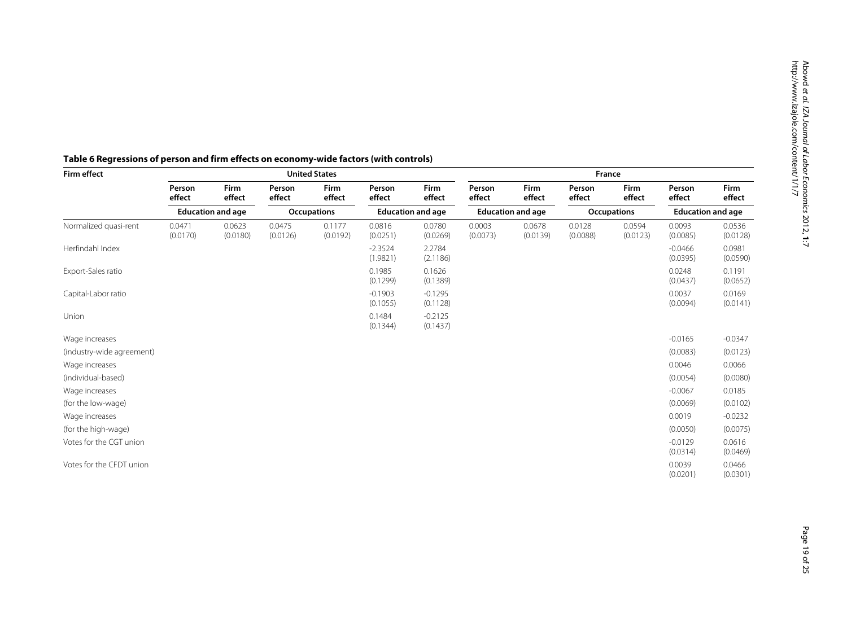<span id="page-18-0"></span>

| <b>Firm effect</b>        |                    |                          |                    | <b>United States</b> |                       | France                   |                    |                          |                    |                       |                          |                    |
|---------------------------|--------------------|--------------------------|--------------------|----------------------|-----------------------|--------------------------|--------------------|--------------------------|--------------------|-----------------------|--------------------------|--------------------|
|                           | Person<br>effect   | Firm<br>effect           | Person<br>effect   | Firm<br>effect       | Person<br>effect      | Firm<br>effect           | Person<br>effect   | Firm<br>effect           | Person<br>effect   | <b>Firm</b><br>effect | Person<br>effect         | Firm<br>effect     |
|                           |                    | <b>Education and age</b> | <b>Occupations</b> |                      |                       | <b>Education and age</b> |                    | <b>Education and age</b> | <b>Occupations</b> |                       | <b>Education and age</b> |                    |
| Normalized quasi-rent     | 0.0471<br>(0.0170) | 0.0623<br>(0.0180)       | 0.0475<br>(0.0126) | 0.1177<br>(0.0192)   | 0.0816<br>(0.0251)    | 0.0780<br>(0.0269)       | 0.0003<br>(0.0073) | 0.0678<br>(0.0139)       | 0.0128<br>(0.0088) | 0.0594<br>(0.0123)    | 0.0093<br>(0.0085)       | 0.0536<br>(0.0128) |
| Herfindahl Index          |                    |                          |                    |                      | $-2.3524$<br>(1.9821) | 2.2784<br>(2.1186)       |                    |                          |                    |                       | $-0.0466$<br>(0.0395)    | 0.0981<br>(0.0590) |
| Export-Sales ratio        |                    |                          |                    |                      | 0.1985<br>(0.1299)    | 0.1626<br>(0.1389)       |                    |                          |                    |                       | 0.0248<br>(0.0437)       | 0.1191<br>(0.0652) |
| Capital-Labor ratio       |                    |                          |                    |                      | $-0.1903$<br>(0.1055) | $-0.1295$<br>(0.1128)    |                    |                          |                    |                       | 0.0037<br>(0.0094)       | 0.0169<br>(0.0141) |
| Union                     |                    |                          |                    |                      | 0.1484<br>(0.1344)    | $-0.2125$<br>(0.1437)    |                    |                          |                    |                       |                          |                    |
| Wage increases            |                    |                          |                    |                      |                       |                          |                    |                          |                    |                       | $-0.0165$                | $-0.0347$          |
| (industry-wide agreement) |                    |                          |                    |                      |                       |                          |                    |                          |                    |                       | (0.0083)                 | (0.0123)           |
| Wage increases            |                    |                          |                    |                      |                       |                          |                    |                          |                    |                       | 0.0046                   | 0.0066             |
| (individual-based)        |                    |                          |                    |                      |                       |                          |                    |                          |                    |                       | (0.0054)                 | (0.0080)           |
| Wage increases            |                    |                          |                    |                      |                       |                          |                    |                          |                    |                       | $-0.0067$                | 0.0185             |
| (for the low-wage)        |                    |                          |                    |                      |                       |                          |                    |                          |                    |                       | (0.0069)                 | (0.0102)           |
| Wage increases            |                    |                          |                    |                      |                       |                          |                    |                          |                    |                       | 0.0019                   | $-0.0232$          |
| (for the high-wage)       |                    |                          |                    |                      |                       |                          |                    |                          |                    |                       | (0.0050)                 | (0.0075)           |
| Votes for the CGT union   |                    |                          |                    |                      |                       |                          |                    |                          |                    |                       | $-0.0129$<br>(0.0314)    | 0.0616<br>(0.0469) |
| Votes for the CFDT union  |                    |                          |                    |                      |                       |                          |                    |                          |                    |                       | 0.0039<br>(0.0201)       | 0.0466<br>(0.0301) |

# **Table 6 Regressions of person and firm effects on economy-wide factors (with controls)**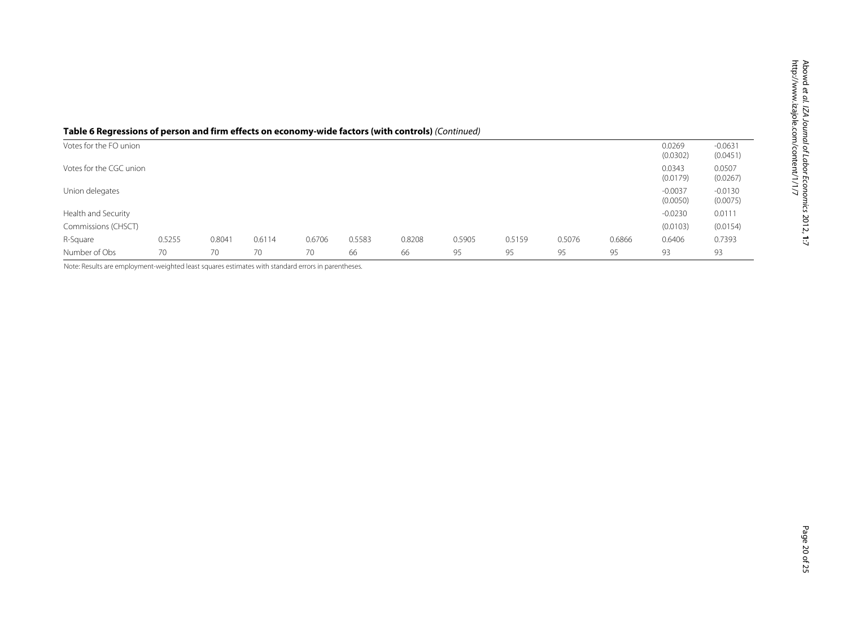# **Table 6 Regressions of person and firm effects on economy-wide factors (with controls)** *(Continued)*

| Votes for the FO union  |        |        |        |        |        |        |        |        |        |        | 0.0269<br>(0.0302)    | $-0.0631$<br>(0.0451) |
|-------------------------|--------|--------|--------|--------|--------|--------|--------|--------|--------|--------|-----------------------|-----------------------|
| Votes for the CGC union |        |        |        |        |        |        |        |        |        |        | 0.0343<br>(0.0179)    | 0.0507<br>(0.0267)    |
| Union delegates         |        |        |        |        |        |        |        |        |        |        | $-0.0037$<br>(0.0050) | $-0.0130$<br>(0.0075) |
| Health and Security     |        |        |        |        |        |        |        |        |        |        | $-0.0230$             | 0.0111                |
| Commissions (CHSCT)     |        |        |        |        |        |        |        |        |        |        | (0.0103)              | (0.0154)              |
| R-Square                | 0.5255 | 0.8041 | 0.6114 | 0.6706 | 0.5583 | 0.8208 | 0.5905 | 0.5159 | 0.5076 | 0.6866 | 0.6406                | 0.7393                |
| Number of Obs           | 70     | 70     | 70     | 70     | 66     | 66     | 95     | 95     | 95     | 95     | 93                    | 93                    |

Note: Results are employment-weighted least squares estimates with standard errors in parentheses.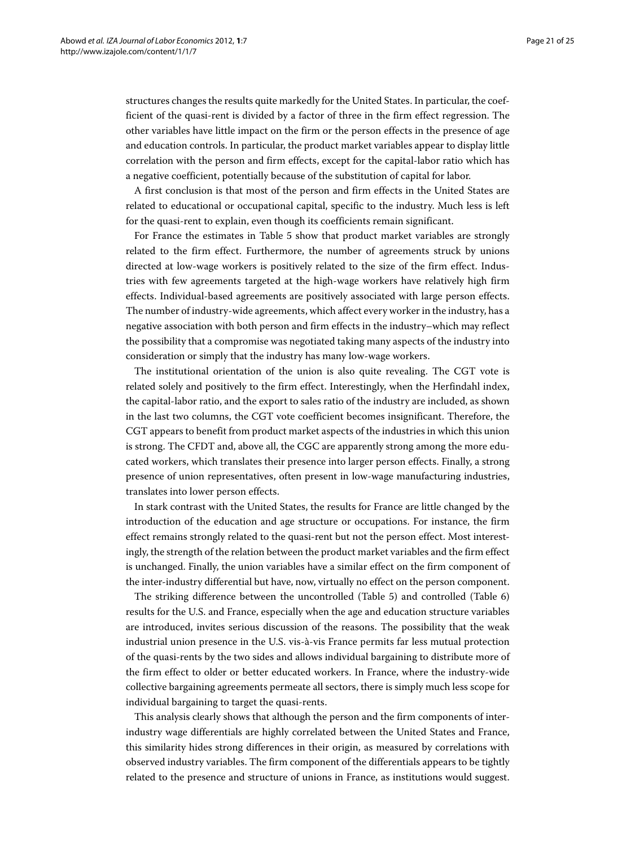structures changes the results quite markedly for the United States. In particular, the coefficient of the quasi-rent is divided by a factor of three in the firm effect regression. The other variables have little impact on the firm or the person effects in the presence of age and education controls. In particular, the product market variables appear to display little correlation with the person and firm effects, except for the capital-labor ratio which has a negative coefficient, potentially because of the substitution of capital for labor.

A first conclusion is that most of the person and firm effects in the United States are related to educational or occupational capital, specific to the industry. Much less is left for the quasi-rent to explain, even though its coefficients remain significant.

For France the estimates in Table [5](#page-16-0) show that product market variables are strongly related to the firm effect. Furthermore, the number of agreements struck by unions directed at low-wage workers is positively related to the size of the firm effect. Industries with few agreements targeted at the high-wage workers have relatively high firm effects. Individual-based agreements are positively associated with large person effects. The number of industry-wide agreements, which affect every worker in the industry, has a negative association with both person and firm effects in the industry–which may reflect the possibility that a compromise was negotiated taking many aspects of the industry into consideration or simply that the industry has many low-wage workers.

The institutional orientation of the union is also quite revealing. The CGT vote is related solely and positively to the firm effect. Interestingly, when the Herfindahl index, the capital-labor ratio, and the export to sales ratio of the industry are included, as shown in the last two columns, the CGT vote coefficient becomes insignificant. Therefore, the CGT appears to benefit from product market aspects of the industries in which this union is strong. The CFDT and, above all, the CGC are apparently strong among the more educated workers, which translates their presence into larger person effects. Finally, a strong presence of union representatives, often present in low-wage manufacturing industries, translates into lower person effects.

In stark contrast with the United States, the results for France are little changed by the introduction of the education and age structure or occupations. For instance, the firm effect remains strongly related to the quasi-rent but not the person effect. Most interestingly, the strength of the relation between the product market variables and the firm effect is unchanged. Finally, the union variables have a similar effect on the firm component of the inter-industry differential but have, now, virtually no effect on the person component.

The striking difference between the uncontrolled (Table [5\)](#page-16-0) and controlled (Table [6\)](#page-18-0) results for the U.S. and France, especially when the age and education structure variables are introduced, invites serious discussion of the reasons. The possibility that the weak industrial union presence in the U.S. vis-à-vis France permits far less mutual protection of the quasi-rents by the two sides and allows individual bargaining to distribute more of the firm effect to older or better educated workers. In France, where the industry-wide collective bargaining agreements permeate all sectors, there is simply much less scope for individual bargaining to target the quasi-rents.

This analysis clearly shows that although the person and the firm components of interindustry wage differentials are highly correlated between the United States and France, this similarity hides strong differences in their origin, as measured by correlations with observed industry variables. The firm component of the differentials appears to be tightly related to the presence and structure of unions in France, as institutions would suggest.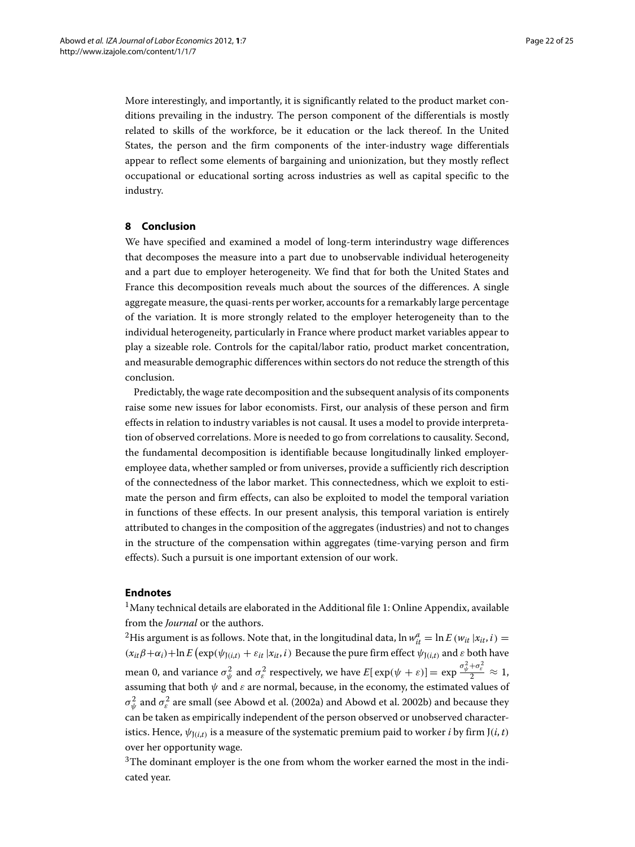More interestingly, and importantly, it is significantly related to the product market conditions prevailing in the industry. The person component of the differentials is mostly related to skills of the workforce, be it education or the lack thereof. In the United States, the person and the firm components of the inter-industry wage differentials appear to reflect some elements of bargaining and unionization, but they mostly reflect occupational or educational sorting across industries as well as capital specific to the industry.

#### **8 Conclusion**

We have specified and examined a model of long-term interindustry wage differences that decomposes the measure into a part due to unobservable individual heterogeneity and a part due to employer heterogeneity. We find that for both the United States and France this decomposition reveals much about the sources of the differences. A single aggregate measure, the quasi-rents per worker, accounts for a remarkably large percentage of the variation. It is more strongly related to the employer heterogeneity than to the individual heterogeneity, particularly in France where product market variables appear to play a sizeable role. Controls for the capital/labor ratio, product market concentration, and measurable demographic differences within sectors do not reduce the strength of this conclusion.

Predictably, the wage rate decomposition and the subsequent analysis of its components raise some new issues for labor economists. First, our analysis of these person and firm effects in relation to industry variables is not causal. It uses a model to provide interpretation of observed correlations. More is needed to go from correlations to causality. Second, the fundamental decomposition is identifiable because longitudinally linked employeremployee data, whether sampled or from universes, provide a sufficiently rich description of the connectedness of the labor market. This connectedness, which we exploit to estimate the person and firm effects, can also be exploited to model the temporal variation in functions of these effects. In our present analysis, this temporal variation is entirely attributed to changes in the composition of the aggregates (industries) and not to changes in the structure of the compensation within aggregates (time-varying person and firm effects). Such a pursuit is one important extension of our work.

#### **Endnotes**

<sup>1</sup>Many technical details are elaborated in the Additional file [1:](#page-23-8) Online Appendix, available from the *Journal* or the authors.

<sup>2</sup>His argument is as follows. Note that, in the longitudinal data,  $\ln w_{it}^a = \ln E(w_{it}|x_{it}, i) =$  $(x_{it}\beta+\alpha_i)+\ln E\left(\exp(\psi_{J(i,t)}+\varepsilon_{it}|x_{it},i)\right)$  Because the pure firm effect  $\psi_{J(i,t)}$  and  $\varepsilon$  both have mean 0, and variance  $\sigma_{\psi}^2$  and  $\sigma_{\varepsilon}^2$  respectively, we have  $E[ \exp(\psi + \varepsilon) ] = \exp{\frac{\sigma_{\psi}^2 + \sigma_{\varepsilon}^2}{2}} \approx 1$ , assuming that both *ψ* and *ε* are normal, because, in the economy, the estimated values of  $\sigma_{\psi}^2$  and  $\sigma_{\varepsilon}^2$  are small (see Abowd et al. [\(2002a\)](#page-23-2) and Abowd et al. [2002b\)](#page-23-9) and because they can be taken as empirically independent of the person observed or unobserved characteristics. Hence,  $\psi_{J(i,t)}$  is a measure of the systematic premium paid to worker *i* by firm  $J(i, t)$ over her opportunity wage.

 $3$ The dominant employer is the one from whom the worker earned the most in the indicated year.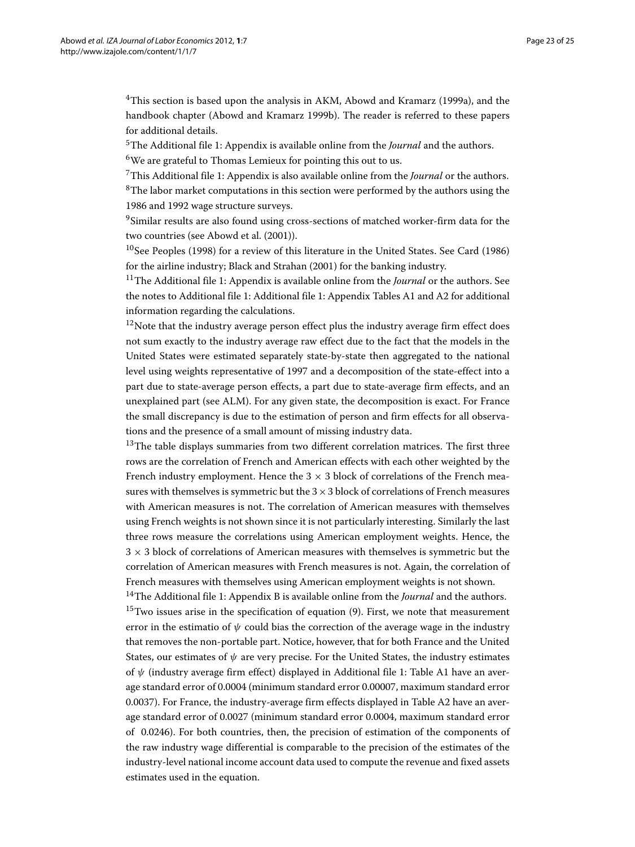$4$ This section is based upon the analysis in AKM, Abowd and Kramarz [\(1999a\)](#page-23-0), and the handbook chapter (Abowd and Kramarz [1999b\)](#page-23-1). The reader is referred to these papers for additional details.

5The Additional file [1:](#page-23-8) Appendix is available online from the *Journal* and the authors.

<sup>6</sup>We are grateful to Thomas Lemieux for pointing this out to us.

7This Additional file [1:](#page-23-8) Appendix is also available online from the *Journal* or the authors. <sup>8</sup>The labor market computations in this section were performed by the authors using the 1986 and 1992 wage structure surveys.

9Similar results are also found using cross-sections of matched worker-firm data for the two countries (see Abowd et al. [\(2001\)](#page-23-11)).

 $10$ See Peoples [\(1998\)](#page-24-19) for a review of this literature in the United States. See Card [\(1986\)](#page-24-22) for the airline industry; Black and Strahan [\(2001\)](#page-24-23) for the banking industry.

11The Additional file [1:](#page-23-8) Appendix is available online from the *Journal* or the authors. See the notes to Additional file [1:](#page-23-8) Additional file [1:](#page-23-8) Appendix Tables A1 and A2 for additional information regarding the calculations.

 $12$ Note that the industry average person effect plus the industry average firm effect does not sum exactly to the industry average raw effect due to the fact that the models in the United States were estimated separately state-by-state then aggregated to the national level using weights representative of 1997 and a decomposition of the state-effect into a part due to state-average person effects, a part due to state-average firm effects, and an unexplained part (see ALM). For any given state, the decomposition is exact. For France the small discrepancy is due to the estimation of person and firm effects for all observations and the presence of a small amount of missing industry data.

 $13$ The table displays summaries from two different correlation matrices. The first three rows are the correlation of French and American effects with each other weighted by the French industry employment. Hence the  $3 \times 3$  block of correlations of the French measures with themselves is symmetric but the  $3 \times 3$  block of correlations of French measures with American measures is not. The correlation of American measures with themselves using French weights is not shown since it is not particularly interesting. Similarly the last three rows measure the correlations using American employment weights. Hence, the 3 × 3 block of correlations of American measures with themselves is symmetric but the correlation of American measures with French measures is not. Again, the correlation of French measures with themselves using American employment weights is not shown.

14The Additional file [1:](#page-23-8) Appendix B is available online from the *Journal* and the authors.  $15$ Two issues arise in the specification of equation [\(9\)](#page-14-1). First, we note that measurement error in the estimatio of *ψ* could bias the correction of the average wage in the industry that removes the non-portable part. Notice, however, that for both France and the United States, our estimates of *ψ* are very precise. For the United States, the industry estimates of *ψ* (industry average firm effect) displayed in Additional file [1:](#page-23-8) Table A1 have an average standard error of 0.0004 (minimum standard error 0.00007, maximum standard error 0.0037). For France, the industry-average firm effects displayed in Table A2 have an average standard error of 0.0027 (minimum standard error 0.0004, maximum standard error of 0.0246). For both countries, then, the precision of estimation of the components of the raw industry wage differential is comparable to the precision of the estimates of the industry-level national income account data used to compute the revenue and fixed assets estimates used in the equation.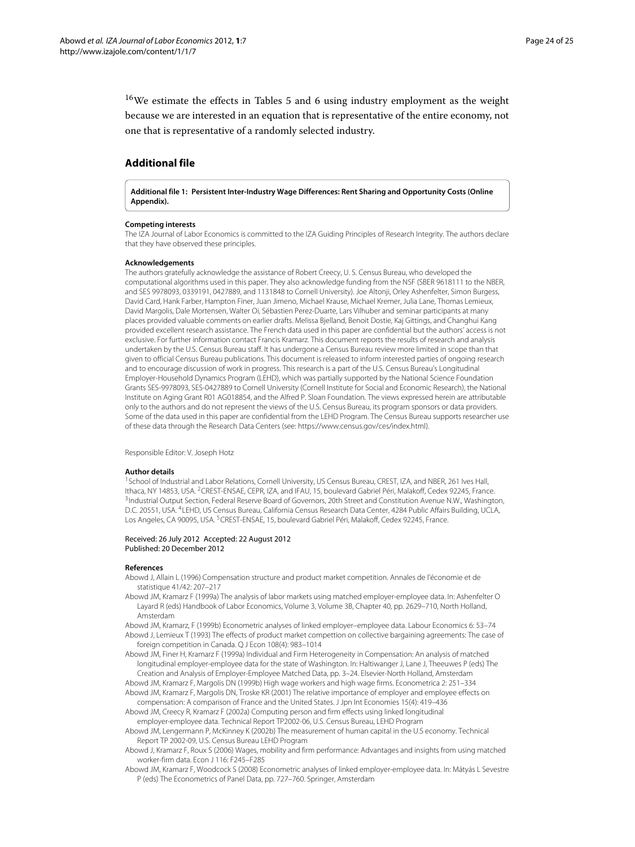<sup>16</sup>We estimate the effects in Tables [5](#page-16-0) and [6](#page-18-0) using industry employment as the weight because we are interested in an equation that is representative of the entire economy, not one that is representative of a randomly selected industry.

#### **Additional file**

<span id="page-23-8"></span>**[Additional file 1:](http://www.biomedcentral.com/content/supplementary/2193-8997-1-7-S1.pdf) Persistent Inter-Industry Wage Differences: Rent Sharing and Opportunity Costs (Online Appendix).**

#### **Competing interests**

The IZA Journal of Labor Economics is committed to the IZA Guiding Principles of Research Integrity. The authors declare that they have observed these principles.

#### **Acknowledgements**

The authors gratefully acknowledge the assistance of Robert Creecy, U. S. Census Bureau, who developed the computational algorithms used in this paper. They also acknowledge funding from the NSF (SBER 9618111 to the NBER, and SES 9978093, 0339191, 0427889, and 1131848 to Cornell University). Joe Altonji, Orley Ashenfelter, Simon Burgess, David Card, Hank Farber, Hampton Finer, Juan Jimeno, Michael Krause, Michael Kremer, Julia Lane, Thomas Lemieux, David Margolis, Dale Mortensen, Walter Oi, Sébastien Perez-Duarte, Lars Vilhuber and seminar participants at many places provided valuable comments on earlier drafts. Melissa Bjelland, Benoit Dostie, Kaj Gittings, and Changhui Kang provided excellent research assistance. The French data used in this paper are confidential but the authors' access is not exclusive. For further information contact Francis Kramarz. This document reports the results of research and analysis undertaken by the U.S. Census Bureau staff. It has undergone a Census Bureau review more limited in scope than that given to official Census Bureau publications. This document is released to inform interested parties of ongoing research and to encourage discussion of work in progress. This research is a part of the U.S. Census Bureau's Longitudinal Employer-Household Dynamics Program (LEHD), which was partially supported by the National Science Foundation Grants SES-9978093, SES-0427889 to Cornell University (Cornell Institute for Social and Economic Research), the National Institute on Aging Grant R01 AG018854, and the Alfred P. Sloan Foundation. The views expressed herein are attributable only to the authors and do not represent the views of the U.S. Census Bureau, its program sponsors or data providers. Some of the data used in this paper are confidential from the LEHD Program. The Census Bureau supports researcher use of these data through the Research Data Centers (see: [https://www.census.gov/ces/index.html\)](https://www.census.gov/ces/index.html).

Responsible Editor: V. Joseph Hotz

#### **Author details**

<sup>1</sup> School of Industrial and Labor Relations, Cornell University, US Census Bureau, CREST, IZA, and NBER, 261 Ives Hall, Ithaca, NY 14853, USA. 2CREST-ENSAE, CEPR, IZA, and IFAU, 15, boulevard Gabriel Péri, Malakoff, Cedex 92245, France. 3Industrial Output Section, Federal Reserve Board of Governors, 20th Street and Constitution Avenue N.W., Washington, D.C. 20551, USA. 4LEHD, US Census Bureau, California Census Research Data Center, 4284 Public Affairs Building, UCLA, Los Angeles, CA 90095, USA. <sup>5</sup>CREST-ENSAE, 15, boulevard Gabriel Péri, Malakoff, Cedex 92245, France.

#### Received: 26 July 2012 Accepted: 22 August 2012 Published: 20 December 2012

#### **References**

- <span id="page-23-7"></span>Abowd J, Allain L (1996) Compensation structure and product market competition. Annales de l'économie et de statistique 41/42: 207–217
- <span id="page-23-0"></span>Abowd JM, Kramarz F (1999a) The analysis of labor markets using matched employer-employee data. In: Ashenfelter O Layard R (eds) Handbook of Labor Economics, Volume 3, Volume 3B, Chapter 40, pp. 2629–710, North Holland, Amsterdam

<span id="page-23-6"></span><span id="page-23-1"></span>Abowd JM, Kramarz, F (1999b) Econometric analyses of linked employer–employee data. Labour Economics 6: 53–74 Abowd J, Lemieux T (1993) The effects of product market compettion on collective bargaining agreements: The case of foreign competition in Canada. Q J Econ 108(4): 983-1014

<span id="page-23-5"></span>Abowd JM, Finer H, Kramarz F (1999a) Individual and Firm Heterogeneity in Compensation: An analysis of matched longitudinal employer-employee data for the state of Washington. In: Haltiwanger J, Lane J, Theeuwes P (eds) The Creation and Analysis of Employer-Employee Matched Data, pp. 3–24. Elsevier-North Holland, Amsterdam

<span id="page-23-4"></span>Abowd JM, Kramarz F, Margolis DN (1999b) High wage workers and high wage firms. Econometrica 2: 251–334 Abowd JM, Kramarz F, Margolis DN, Troske KR (2001) The relative importance of employer and employee effects on

<span id="page-23-11"></span>compensation: A comparison of France and the United States. J Jpn Int Economies 15(4): 419–436 Abowd JM, Creecy R, Kramarz F (2002a) Computing person and firm effects using linked longitudinal

<span id="page-23-9"></span><span id="page-23-2"></span>employer-employee data. Technical Report TP2002-06, U.S. Census Bureau, LEHD Program Abowd JM, Lengermann P, McKinney K (2002b) The measurement of human capital in the U.S economy. Technical Report TP 2002-09, U.S. Census Bureau LEHD Program

<span id="page-23-10"></span>Abowd J, Kramarz F, Roux S (2006) Wages, mobility and firm performance: Advantages and insights from using matched worker-firm data. Econ J 116: F245–F285

<span id="page-23-3"></span>Abowd JM, Kramarz F, Woodcock S (2008) Econometric analyses of linked employer-employee data. In: Mátyás L Sevestre P (eds) The Econometrics of Panel Data, pp. 727–760. Springer, Amsterdam